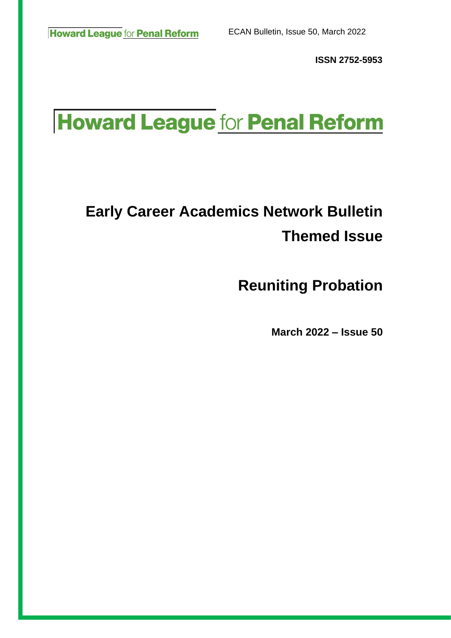**ISSN 2752-5953**

# **Howard League for Penal Reform**

# **Early Career Academics Network Bulletin Themed Issue**

**Reuniting Probation**

 **March 2022 – Issue 50**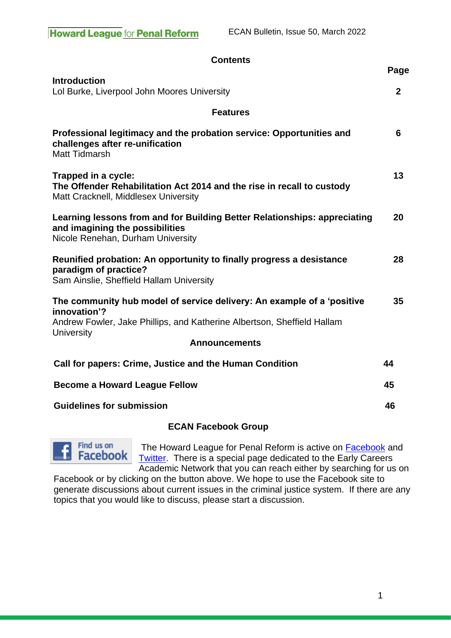| <b>Contents</b>                                                                                                                                                                                                |                        |
|----------------------------------------------------------------------------------------------------------------------------------------------------------------------------------------------------------------|------------------------|
| <b>Introduction</b><br>Lol Burke, Liverpool John Moores University                                                                                                                                             | Page<br>$\overline{2}$ |
| <b>Features</b>                                                                                                                                                                                                |                        |
| Professional legitimacy and the probation service: Opportunities and<br>challenges after re-unification<br><b>Matt Tidmarsh</b>                                                                                | 6                      |
| Trapped in a cycle:<br>The Offender Rehabilitation Act 2014 and the rise in recall to custody<br>Matt Cracknell, Middlesex University                                                                          | 13                     |
| Learning lessons from and for Building Better Relationships: appreciating<br>and imagining the possibilities<br>Nicole Renehan, Durham University                                                              | 20                     |
| Reunified probation: An opportunity to finally progress a desistance<br>paradigm of practice?<br>Sam Ainslie, Sheffield Hallam University                                                                      | 28                     |
| The community hub model of service delivery: An example of a 'positive<br>innovation'?<br>Andrew Fowler, Jake Phillips, and Katherine Albertson, Sheffield Hallam<br><b>University</b><br><b>Announcements</b> | 35                     |
| Call for papers: Crime, Justice and the Human Condition                                                                                                                                                        | 44                     |
| <b>Become a Howard League Fellow</b>                                                                                                                                                                           |                        |
| <b>Guidelines for submission</b>                                                                                                                                                                               |                        |

### **ECAN Facebook Group**



The Howard League for Penal Reform is active on **Facebook** and [Twitter.](http://twitter.com/TheHowardLeague) There is a special page dedicated to the Early Careers Academic Network that you can reach either by searching for us on

Facebook or by clicking on the button above. We hope to use the Facebook site to generate discussions about current issues in the criminal justice system. If there are any topics that you would like to discuss, please start a discussion.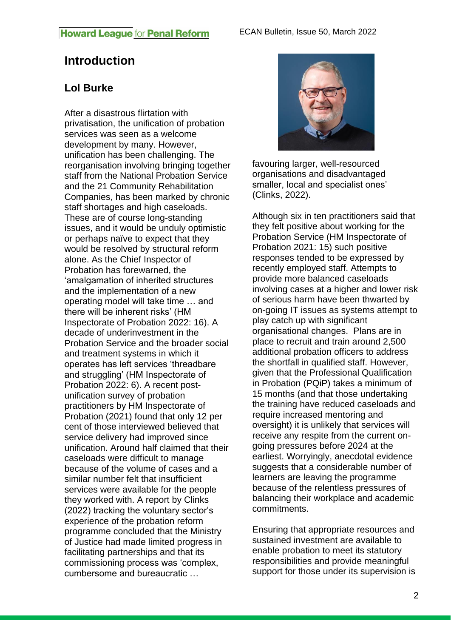# **Introduction**

# **Lol Burke**

After a disastrous flirtation with privatisation, the unification of probation services was seen as a welcome development by many. However, unification has been challenging. The reorganisation involving bringing together staff from the National Probation Service and the 21 Community Rehabilitation Companies, has been marked by chronic staff shortages and high caseloads. These are of course long-standing issues, and it would be unduly optimistic or perhaps naïve to expect that they would be resolved by structural reform alone. As the Chief Inspector of Probation has forewarned, the 'amalgamation of inherited structures and the implementation of a new operating model will take time … and there will be inherent risks' (HM Inspectorate of Probation 2022: 16). A decade of underinvestment in the Probation Service and the broader social and treatment systems in which it operates has left services 'threadbare and struggling' (HM Inspectorate of Probation 2022: 6). A recent postunification survey of probation practitioners by HM Inspectorate of Probation (2021) found that only 12 per cent of those interviewed believed that service delivery had improved since unification. Around half claimed that their caseloads were difficult to manage because of the volume of cases and a similar number felt that insufficient services were available for the people they worked with. A report by Clinks (2022) tracking the voluntary sector's experience of the probation reform programme concluded that the Ministry of Justice had made limited progress in facilitating partnerships and that its commissioning process was 'complex, cumbersome and bureaucratic …



favouring larger, well-resourced organisations and disadvantaged smaller, local and specialist ones' (Clinks, 2022).

Although six in ten practitioners said that they felt positive about working for the Probation Service (HM Inspectorate of Probation 2021: 15) such positive responses tended to be expressed by recently employed staff. Attempts to provide more balanced caseloads involving cases at a higher and lower risk of serious harm have been thwarted by on-going IT issues as systems attempt to play catch up with significant organisational changes. Plans are in place to recruit and train around 2,500 additional probation officers to address the shortfall in qualified staff. However, given that the Professional Qualification in Probation (PQiP) takes a minimum of 15 months (and that those undertaking the training have reduced caseloads and require increased mentoring and oversight) it is unlikely that services will receive any respite from the current ongoing pressures before 2024 at the earliest. Worryingly, anecdotal evidence suggests that a considerable number of learners are leaving the programme because of the relentless pressures of balancing their workplace and academic commitments.

Ensuring that appropriate resources and sustained investment are available to enable probation to meet its statutory responsibilities and provide meaningful support for those under its supervision is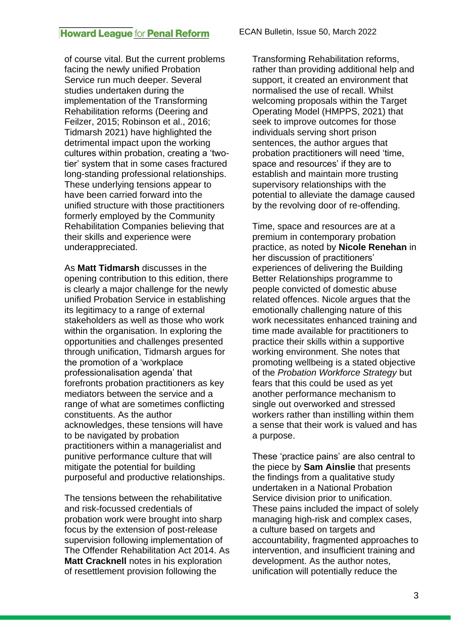of course vital. But the current problems facing the newly unified Probation Service run much deeper. Several studies undertaken during the implementation of the Transforming Rehabilitation reforms (Deering and Feilzer, 2015; Robinson et al., 2016; Tidmarsh 2021) have highlighted the detrimental impact upon the working cultures within probation, creating a 'twotier' system that in some cases fractured long-standing professional relationships. These underlying tensions appear to have been carried forward into the unified structure with those practitioners formerly employed by the Community Rehabilitation Companies believing that their skills and experience were underappreciated.

As **Matt Tidmarsh** discusses in the opening contribution to this edition, there is clearly a major challenge for the newly unified Probation Service in establishing its legitimacy to a range of external stakeholders as well as those who work within the organisation. In exploring the opportunities and challenges presented through unification, Tidmarsh argues for the promotion of a 'workplace professionalisation agenda' that forefronts probation practitioners as key mediators between the service and a range of what are sometimes conflicting constituents. As the author acknowledges, these tensions will have to be navigated by probation practitioners within a managerialist and punitive performance culture that will mitigate the potential for building purposeful and productive relationships.

The tensions between the rehabilitative and risk-focussed credentials of probation work were brought into sharp focus by the extension of post-release supervision following implementation of The Offender Rehabilitation Act 2014. As **Matt Cracknell** notes in his exploration of resettlement provision following the

Transforming Rehabilitation reforms, rather than providing additional help and support, it created an environment that normalised the use of recall. Whilst welcoming proposals within the Target Operating Model (HMPPS, 2021) that seek to improve outcomes for those individuals serving short prison sentences, the author argues that probation practitioners will need 'time, space and resources' if they are to establish and maintain more trusting supervisory relationships with the potential to alleviate the damage caused by the revolving door of re-offending.

Time, space and resources are at a premium in contemporary probation practice, as noted by **Nicole Renehan** in her discussion of practitioners' experiences of delivering the Building Better Relationships programme to people convicted of domestic abuse related offences. Nicole argues that the emotionally challenging nature of this work necessitates enhanced training and time made available for practitioners to practice their skills within a supportive working environment. She notes that promoting wellbeing is a stated objective of the *Probation Workforce Strategy* but fears that this could be used as yet another performance mechanism to single out overworked and stressed workers rather than instilling within them a sense that their work is valued and has a purpose.

These 'practice pains' are also central to the piece by **Sam Ainslie** that presents the findings from a qualitative study undertaken in a National Probation Service division prior to unification. These pains included the impact of solely managing high-risk and complex cases, a culture based on targets and accountability, fragmented approaches to intervention, and insufficient training and development. As the author notes, unification will potentially reduce the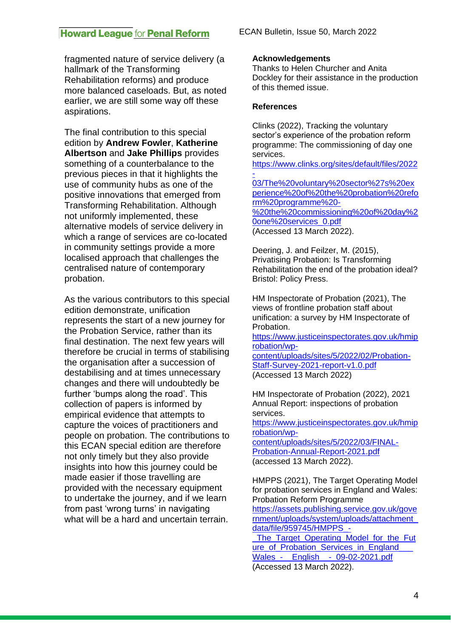fragmented nature of service delivery (a hallmark of the Transforming Rehabilitation reforms) and produce more balanced caseloads. But, as noted earlier, we are still some way off these aspirations.

The final contribution to this special edition by **Andrew Fowler**, **Katherine Albertson** and **Jake Phillips** provides something of a counterbalance to the previous pieces in that it highlights the use of community hubs as one of the positive innovations that emerged from Transforming Rehabilitation. Although not uniformly implemented, these alternative models of service delivery in which a range of services are co-located in community settings provide a more localised approach that challenges the centralised nature of contemporary probation.

As the various contributors to this special edition demonstrate, unification represents the start of a new journey for the Probation Service, rather than its final destination. The next few years will therefore be crucial in terms of stabilising the organisation after a succession of destabilising and at times unnecessary changes and there will undoubtedly be further 'bumps along the road'. This collection of papers is informed by empirical evidence that attempts to capture the voices of practitioners and people on probation. The contributions to this ECAN special edition are therefore not only timely but they also provide insights into how this journey could be made easier if those travelling are provided with the necessary equipment to undertake the journey, and if we learn from past 'wrong turns' in navigating what will be a hard and uncertain terrain.

#### **Acknowledgements**

Thanks to Helen Churcher and Anita Dockley for their assistance in the production of this themed issue.

#### **References**

Clinks (2022), Tracking the voluntary sector's experience of the probation reform programme: The commissioning of day one services. [https://www.clinks.org/sites/default/files/2022](https://www.clinks.org/sites/default/files/2022-03/The%20voluntary%20sector%27s%20experience%20of%20the%20probation%20reform%20programme%20-%20the%20commissioning%20of%20day%20one%20services_0.pdf) [-](https://www.clinks.org/sites/default/files/2022-03/The%20voluntary%20sector%27s%20experience%20of%20the%20probation%20reform%20programme%20-%20the%20commissioning%20of%20day%20one%20services_0.pdf) [03/The%20voluntary%20sector%27s%20ex](https://www.clinks.org/sites/default/files/2022-03/The%20voluntary%20sector%27s%20experience%20of%20the%20probation%20reform%20programme%20-%20the%20commissioning%20of%20day%20one%20services_0.pdf) [perience%20of%20the%20probation%20refo](https://www.clinks.org/sites/default/files/2022-03/The%20voluntary%20sector%27s%20experience%20of%20the%20probation%20reform%20programme%20-%20the%20commissioning%20of%20day%20one%20services_0.pdf) [rm%20programme%20-](https://www.clinks.org/sites/default/files/2022-03/The%20voluntary%20sector%27s%20experience%20of%20the%20probation%20reform%20programme%20-%20the%20commissioning%20of%20day%20one%20services_0.pdf) [%20the%20commissioning%20of%20day%2](https://www.clinks.org/sites/default/files/2022-03/The%20voluntary%20sector%27s%20experience%20of%20the%20probation%20reform%20programme%20-%20the%20commissioning%20of%20day%20one%20services_0.pdf) [0one%20services\\_0.pdf](https://www.clinks.org/sites/default/files/2022-03/The%20voluntary%20sector%27s%20experience%20of%20the%20probation%20reform%20programme%20-%20the%20commissioning%20of%20day%20one%20services_0.pdf) (Accessed 13 March 2022).

Deering, J. and Feilzer, M. (2015), Privatising Probation: Is Transforming Rehabilitation the end of the probation ideal? Bristol: Policy Press.

HM Inspectorate of Probation (2021), The views of frontline probation staff about unification: a survey by HM Inspectorate of Probation.

[https://www.justiceinspectorates.gov.uk/hmip](https://www.justiceinspectorates.gov.uk/hmiprobation/wp-content/uploads/sites/5/2022/02/Probation-Staff-Survey-2021-report-v1.0.pdf) [robation/wp](https://www.justiceinspectorates.gov.uk/hmiprobation/wp-content/uploads/sites/5/2022/02/Probation-Staff-Survey-2021-report-v1.0.pdf)[content/uploads/sites/5/2022/02/Probation-](https://www.justiceinspectorates.gov.uk/hmiprobation/wp-content/uploads/sites/5/2022/02/Probation-Staff-Survey-2021-report-v1.0.pdf)[Staff-Survey-2021-report-v1.0.pdf](https://www.justiceinspectorates.gov.uk/hmiprobation/wp-content/uploads/sites/5/2022/02/Probation-Staff-Survey-2021-report-v1.0.pdf) (Accessed 13 March 2022)

HM Inspectorate of Probation (2022), 2021 Annual Report: inspections of probation services. [https://www.justiceinspectorates.gov.uk/hmip](https://www.justiceinspectorates.gov.uk/hmiprobation/wp-content/uploads/sites/5/2022/03/FINAL-Probation-Annual-Report-2021.pdf) [robation/wp](https://www.justiceinspectorates.gov.uk/hmiprobation/wp-content/uploads/sites/5/2022/03/FINAL-Probation-Annual-Report-2021.pdf)[content/uploads/sites/5/2022/03/FINAL-](https://www.justiceinspectorates.gov.uk/hmiprobation/wp-content/uploads/sites/5/2022/03/FINAL-Probation-Annual-Report-2021.pdf)[Probation-Annual-Report-2021.pdf](https://www.justiceinspectorates.gov.uk/hmiprobation/wp-content/uploads/sites/5/2022/03/FINAL-Probation-Annual-Report-2021.pdf) (accessed 13 March 2022).

HMPPS (2021), The Target Operating Model for probation services in England and Wales: Probation Reform Programme [https://assets.publishing.service.gov.uk/gove](https://assets.publishing.service.gov.uk/government/uploads/system/uploads/attachment_data/file/959745/HMPPS_-_The_Target_Operating_Model_for_the_Future_of_Probation_Services_in_England___Wales_-__English__-_09-02-2021.pdf) [rnment/uploads/system/uploads/attachment\\_](https://assets.publishing.service.gov.uk/government/uploads/system/uploads/attachment_data/file/959745/HMPPS_-_The_Target_Operating_Model_for_the_Future_of_Probation_Services_in_England___Wales_-__English__-_09-02-2021.pdf) [data/file/959745/HMPPS\\_-](https://assets.publishing.service.gov.uk/government/uploads/system/uploads/attachment_data/file/959745/HMPPS_-_The_Target_Operating_Model_for_the_Future_of_Probation_Services_in_England___Wales_-__English__-_09-02-2021.pdf) The Target Operating Model for the Fut ure of Probation Services in England Wales - English - 09-02-2021.pdf

(Accessed 13 March 2022).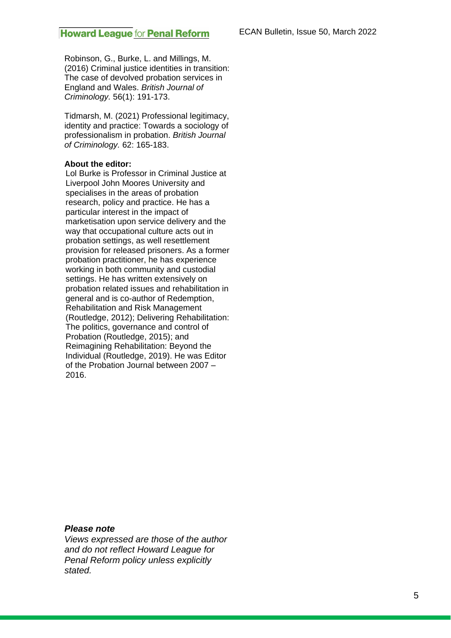Robinson, G., Burke, L. and Millings, M. (2016) Criminal justice identities in transition: The case of devolved probation services in England and Wales. *British Journal of Criminology.* 56(1): 191-173.

Tidmarsh, M. (2021) Professional legitimacy, identity and practice: Towards a sociology of professionalism in probation. *British Journal of Criminology.* 62: 165-183.

#### **About the editor:**

Lol Burke is Professor in Criminal Justice at Liverpool John Moores University and specialises in the areas of probation research, policy and practice. He has a particular interest in the impact of marketisation upon service delivery and the way that occupational culture acts out in probation settings, as well resettlement provision for released prisoners. As a former probation practitioner, he has experience working in both community and custodial settings. He has written extensively on probation related issues and rehabilitation in general and is co-author of Redemption, Rehabilitation and Risk Management (Routledge, 2012); Delivering Rehabilitation: The politics, governance and control of Probation (Routledge, 2015); and Reimagining Rehabilitation: Beyond the Individual (Routledge, 2019). He was Editor of the Probation Journal between 2007 – 2016.

*Please note*

*Views expressed are those of the author and do not reflect Howard League for Penal Reform policy unless explicitly stated.*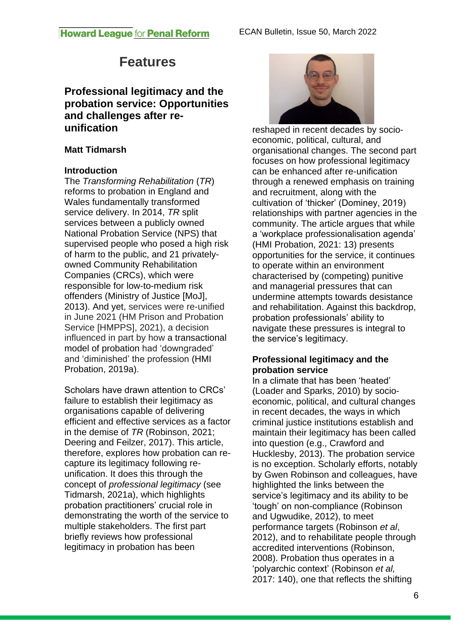# **Features**

# **Professional legitimacy and the probation service: Opportunities and challenges after reunification**

# **Matt Tidmarsh**

# **Introduction**

The *Transforming Rehabilitation* (*TR*) reforms to probation in England and Wales fundamentally transformed service delivery. In 2014, *TR* split services between a publicly owned National Probation Service (NPS) that supervised people who posed a high risk of harm to the public, and 21 privatelyowned Community Rehabilitation Companies (CRCs), which were responsible for low-to-medium risk offenders (Ministry of Justice [MoJ], 2013). And yet, services were re-unified in June 2021 (HM Prison and Probation Service [HMPPS], 2021), a decision influenced in part by how a transactional model of probation had 'downgraded' and 'diminished' the profession (HMI Probation, 2019a).

Scholars have drawn attention to CRCs' failure to establish their legitimacy as organisations capable of delivering efficient and effective services as a factor in the demise of *TR* (Robinson, 2021; Deering and Feilzer, 2017). This article, therefore, explores how probation can recapture its legitimacy following reunification. It does this through the concept of *professional legitimacy* (see Tidmarsh, 2021a), which highlights probation practitioners' crucial role in demonstrating the worth of the service to multiple stakeholders. The first part briefly reviews how professional legitimacy in probation has been



reshaped in recent decades by socioeconomic, political, cultural, and organisational changes. The second part focuses on how professional legitimacy can be enhanced after re-unification through a renewed emphasis on training and recruitment, along with the cultivation of 'thicker' (Dominey, 2019) relationships with partner agencies in the community. The article argues that while a 'workplace professionalisation agenda' (HMI Probation, 2021: 13) presents opportunities for the service, it continues to operate within an environment characterised by (competing) punitive and managerial pressures that can undermine attempts towards desistance and rehabilitation. Against this backdrop, probation professionals' ability to navigate these pressures is integral to the service's legitimacy.

# **Professional legitimacy and the probation service**

In a climate that has been 'heated' (Loader and Sparks, 2010) by socioeconomic, political, and cultural changes in recent decades, the ways in which criminal justice institutions establish and maintain their legitimacy has been called into question (e.g., Crawford and Hucklesby, 2013). The probation service is no exception. Scholarly efforts, notably by Gwen Robinson and colleagues, have highlighted the links between the service's legitimacy and its ability to be 'tough' on non-compliance (Robinson and Ugwudike, 2012), to meet performance targets (Robinson *et al*, 2012), and to rehabilitate people through accredited interventions (Robinson, 2008). Probation thus operates in a 'polyarchic context' (Robinson *et al,* 2017: 140), one that reflects the shifting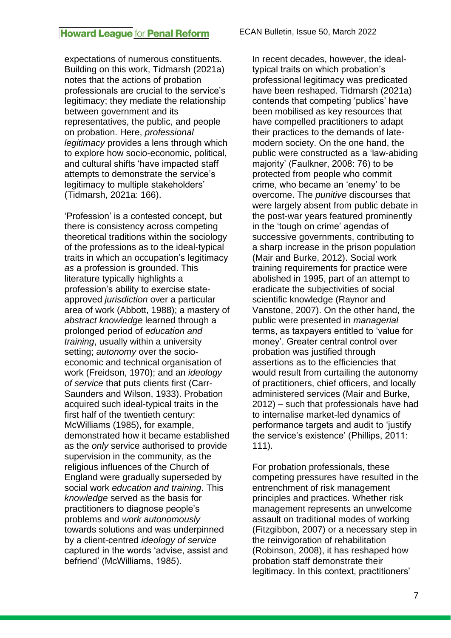expectations of numerous constituents. Building on this work, Tidmarsh (2021a) notes that the actions of probation professionals are crucial to the service's legitimacy; they mediate the relationship between government and its representatives, the public, and people on probation. Here, *professional legitimacy* provides a lens through which to explore how socio-economic, political, and cultural shifts 'have impacted staff attempts to demonstrate the service's legitimacy to multiple stakeholders' (Tidmarsh, 2021a: 166).

'Profession' is a contested concept, but there is consistency across competing theoretical traditions within the sociology of the professions as to the ideal-typical traits in which an occupation's legitimacy *as* a profession is grounded. This literature typically highlights a profession's ability to exercise stateapproved *jurisdiction* over a particular area of work (Abbott, 1988); a mastery of *abstract knowledge* learned through a prolonged period of *education and training*, usually within a university setting; *autonomy* over the socioeconomic and technical organisation of work (Freidson, 1970); and an *ideology of service* that puts clients first (Carr-Saunders and Wilson, 1933). Probation acquired such ideal-typical traits in the first half of the twentieth century: McWilliams (1985), for example, demonstrated how it became established as the *only* service authorised to provide supervision in the community, as the religious influences of the Church of England were gradually superseded by social work *education and training*. This *knowledge* served as the basis for practitioners to diagnose people's problems and *work autonomously* towards solutions and was underpinned by a client-centred *ideology of service* captured in the words 'advise, assist and befriend' (McWilliams, 1985).

In recent decades, however, the idealtypical traits on which probation's professional legitimacy was predicated have been reshaped. Tidmarsh (2021a) contends that competing 'publics' have been mobilised as key resources that have compelled practitioners to adapt their practices to the demands of latemodern society. On the one hand, the public were constructed as a 'law-abiding majority' (Faulkner, 2008: 76) to be protected from people who commit crime, who became an 'enemy' to be overcome. The *punitive* discourses that were largely absent from public debate in the post-war years featured prominently in the 'tough on crime' agendas of successive governments, contributing to a sharp increase in the prison population (Mair and Burke, 2012). Social work training requirements for practice were abolished in 1995, part of an attempt to eradicate the subjectivities of social scientific knowledge (Raynor and Vanstone, 2007). On the other hand, the public were presented in *managerial* terms, as taxpayers entitled to 'value for money'. Greater central control over probation was justified through assertions as to the efficiencies that would result from curtailing the autonomy of practitioners, chief officers, and locally administered services (Mair and Burke, 2012) – such that professionals have had to internalise market-led dynamics of performance targets and audit to 'justify the service's existence' (Phillips, 2011: 111).

For probation professionals, these competing pressures have resulted in the entrenchment of risk management principles and practices. Whether risk management represents an unwelcome assault on traditional modes of working (Fitzgibbon, 2007) or a necessary step in the reinvigoration of rehabilitation (Robinson, 2008), it has reshaped how probation staff demonstrate their legitimacy. In this context, practitioners'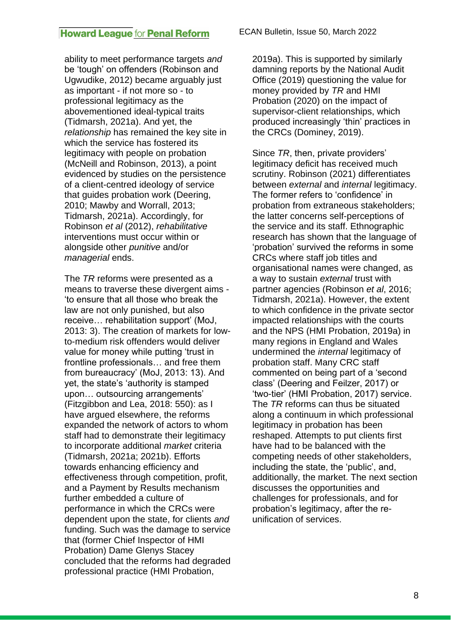ability to meet performance targets *and* be 'tough' on offenders (Robinson and Ugwudike, 2012) became arguably just as important - if not more so - to professional legitimacy as the abovementioned ideal-typical traits (Tidmarsh, 2021a). And yet, the *relationship* has remained the key site in which the service has fostered its legitimacy with people on probation (McNeill and Robinson, 2013), a point evidenced by studies on the persistence of a client-centred ideology of service that guides probation work (Deering, 2010; Mawby and Worrall, 2013; Tidmarsh, 2021a). Accordingly, for Robinson *et al* (2012), *rehabilitative* interventions must occur within or alongside other *punitive* and/or *managerial* ends.

The *TR* reforms were presented as a means to traverse these divergent aims - 'to ensure that all those who break the law are not only punished, but also receive… rehabilitation support' (MoJ, 2013: 3). The creation of markets for lowto-medium risk offenders would deliver value for money while putting 'trust in frontline professionals… and free them from bureaucracy' (MoJ, 2013: 13). And yet, the state's 'authority is stamped upon… outsourcing arrangements' (Fitzgibbon and Lea, 2018: 550): as I have argued elsewhere, the reforms expanded the network of actors to whom staff had to demonstrate their legitimacy to incorporate additional *market* criteria (Tidmarsh, 2021a; 2021b). Efforts towards enhancing efficiency and effectiveness through competition, profit, and a Payment by Results mechanism further embedded a culture of performance in which the CRCs were dependent upon the state, for clients *and* funding. Such was the damage to service that (former Chief Inspector of HMI Probation) Dame Glenys Stacey concluded that the reforms had degraded professional practice (HMI Probation,

2019a). This is supported by similarly damning reports by the National Audit Office (2019) questioning the value for money provided by *TR* and HMI Probation (2020) on the impact of supervisor-client relationships, which produced increasingly 'thin' practices in the CRCs (Dominey, 2019).

Since *TR*, then, private providers' legitimacy deficit has received much scrutiny. Robinson (2021) differentiates between *external* and *internal* legitimacy. The former refers to 'confidence' in probation from extraneous stakeholders; the latter concerns self-perceptions of the service and its staff. Ethnographic research has shown that the language of 'probation' survived the reforms in some CRCs where staff job titles and organisational names were changed, as a way to sustain *external* trust with partner agencies (Robinson *et al*, 2016; Tidmarsh, 2021a). However, the extent to which confidence in the private sector impacted relationships with the courts and the NPS (HMI Probation, 2019a) in many regions in England and Wales undermined the *internal* legitimacy of probation staff. Many CRC staff commented on being part of a 'second class' (Deering and Feilzer, 2017) or 'two-tier' (HMI Probation, 2017) service. The *TR* reforms can thus be situated along a continuum in which professional legitimacy in probation has been reshaped. Attempts to put clients first have had to be balanced with the competing needs of other stakeholders, including the state, the 'public', and, additionally, the market. The next section discusses the opportunities and challenges for professionals, and for probation's legitimacy, after the reunification of services.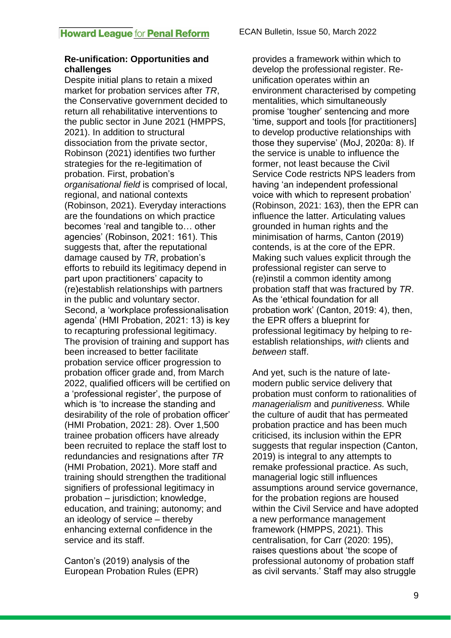#### **Re-unification: Opportunities and challenges**

Despite initial plans to retain a mixed market for probation services after *TR*, the Conservative government decided to return all rehabilitative interventions to the public sector in June 2021 (HMPPS, 2021). In addition to structural dissociation from the private sector, Robinson (2021) identifies two further strategies for the re-legitimation of probation. First, probation's *organisational field* is comprised of local, regional, and national contexts (Robinson, 2021). Everyday interactions are the foundations on which practice becomes 'real and tangible to… other agencies' (Robinson, 2021: 161). This suggests that, after the reputational damage caused by *TR*, probation's efforts to rebuild its legitimacy depend in part upon practitioners' capacity to (re)establish relationships with partners in the public and voluntary sector. Second, a 'workplace professionalisation agenda' (HMI Probation, 2021: 13) is key to recapturing professional legitimacy. The provision of training and support has been increased to better facilitate probation service officer progression to probation officer grade and, from March 2022, qualified officers will be certified on a 'professional register', the purpose of which is 'to increase the standing and desirability of the role of probation officer' (HMI Probation, 2021: 28). Over 1,500 trainee probation officers have already been recruited to replace the staff lost to redundancies and resignations after *TR*  (HMI Probation, 2021). More staff and training should strengthen the traditional signifiers of professional legitimacy in probation – jurisdiction; knowledge, education, and training; autonomy; and an ideology of service – thereby enhancing external confidence in the service and its staff.

Canton's (2019) analysis of the European Probation Rules (EPR) provides a framework within which to develop the professional register. Reunification operates within an environment characterised by competing mentalities, which simultaneously promise 'tougher' sentencing and more 'time, support and tools [for practitioners] to develop productive relationships with those they supervise' (MoJ, 2020a: 8). If the service is unable to influence the former, not least because the Civil Service Code restricts NPS leaders from having 'an independent professional voice with which to represent probation' (Robinson, 2021: 163), then the EPR can influence the latter. Articulating values grounded in human rights and the minimisation of harms, Canton (2019) contends, is at the core of the EPR. Making such values explicit through the professional register can serve to (re)instil a common identity among probation staff that was fractured by *TR*. As the 'ethical foundation for all probation work' (Canton, 2019: 4), then, the EPR offers a blueprint for professional legitimacy by helping to reestablish relationships, *with* clients and *between* staff.

And yet, such is the nature of latemodern public service delivery that probation must conform to rationalities of *managerialism* and *punitiveness.* While the culture of audit that has permeated probation practice and has been much criticised, its inclusion within the EPR suggests that regular inspection (Canton, 2019) is integral to any attempts to remake professional practice. As such, managerial logic still influences assumptions around service governance, for the probation regions are housed within the Civil Service and have adopted a new performance management framework (HMPPS, 2021). This centralisation, for Carr (2020: 195), raises questions about 'the scope of professional autonomy of probation staff as civil servants.' Staff may also struggle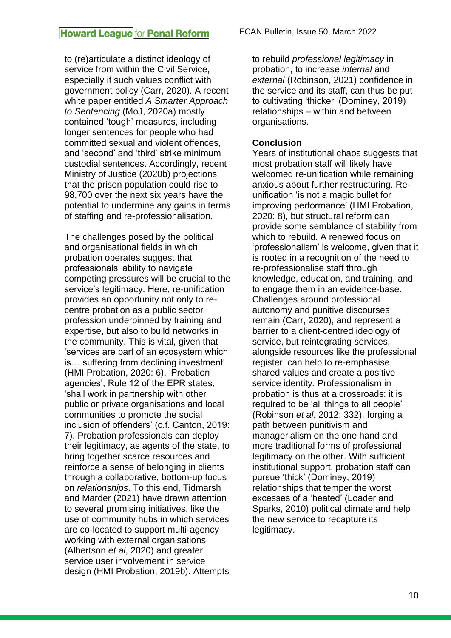to (re)articulate a distinct ideology of service from within the Civil Service, especially if such values conflict with government policy (Carr, 2020). A recent white paper entitled *A Smarter Approach to Sentencing* (MoJ, 2020a) mostly contained 'tough' measures, including longer sentences for people who had committed sexual and violent offences, and 'second' and 'third' strike minimum custodial sentences. Accordingly, recent Ministry of Justice (2020b) projections that the prison population could rise to 98,700 over the next six years have the potential to undermine any gains in terms of staffing and re-professionalisation.

The challenges posed by the political and organisational fields in which probation operates suggest that professionals' ability to navigate competing pressures will be crucial to the service's legitimacy. Here, re-unification provides an opportunity not only to recentre probation as a public sector profession underpinned by training and expertise, but also to build networks in the community. This is vital, given that 'services are part of an ecosystem which is… suffering from declining investment' (HMI Probation, 2020: 6). 'Probation agencies', Rule 12 of the EPR states, 'shall work in partnership with other public or private organisations and local communities to promote the social inclusion of offenders' (c.f. Canton, 2019: 7). Probation professionals can deploy their legitimacy, as agents of the state, to bring together scarce resources and reinforce a sense of belonging in clients through a collaborative, bottom-up focus on *relationships*. To this end, Tidmarsh and Marder (2021) have drawn attention to several promising initiatives, like the use of community hubs in which services are co-located to support multi-agency working with external organisations (Albertson *et al*, 2020) and greater service user involvement in service design (HMI Probation, 2019b). Attempts

to rebuild *professional legitimacy* in probation, to increase *internal* and *external* (Robinson, 2021) confidence in the service and its staff, can thus be put to cultivating 'thicker' (Dominey, 2019) relationships – within and between organisations.

#### **Conclusion**

Years of institutional chaos suggests that most probation staff will likely have welcomed re-unification while remaining anxious about further restructuring. Reunification 'is not a magic bullet for improving performance' (HMI Probation, 2020: 8), but structural reform can provide some semblance of stability from which to rebuild. A renewed focus on 'professionalism' is welcome, given that it is rooted in a recognition of the need to re-professionalise staff through knowledge, education, and training, and to engage them in an evidence-base. Challenges around professional autonomy and punitive discourses remain (Carr, 2020), and represent a barrier to a client-centred ideology of service, but reintegrating services, alongside resources like the professional register, can help to re-emphasise shared values and create a positive service identity*.* Professionalism in probation is thus at a crossroads: it is required to be 'all things to all people' (Robinson *et al*, 2012: 332), forging a path between punitivism and managerialism on the one hand and more traditional forms of professional legitimacy on the other. With sufficient institutional support, probation staff can pursue 'thick' (Dominey, 2019) relationships that temper the worst excesses of a 'heated' (Loader and Sparks, 2010) political climate and help the new service to recapture its legitimacy.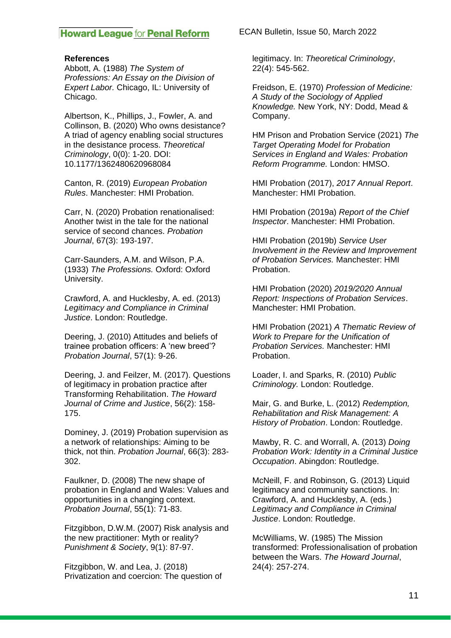#### **References**

Abbott, A. (1988) *The System of Professions: An Essay on the Division of Expert Labor.* Chicago, IL: University of Chicago.

Albertson, K., Phillips, J., Fowler, A. and Collinson, B. (2020) Who owns desistance? A triad of agency enabling social structures in the desistance process. *Theoretical Criminology*, 0(0): 1-20. DOI: 10.1177/1362480620968084

Canton, R. (2019) *European Probation Rules*. Manchester: HMI Probation.

Carr, N. (2020) Probation renationalised: Another twist in the tale for the national service of second chances. *Probation Journal*, 67(3): 193-197.

Carr-Saunders, A.M. and Wilson, P.A. (1933) *The Professions.* Oxford: Oxford University.

Crawford, A. and Hucklesby, A. ed. (2013) *Legitimacy and Compliance in Criminal Justice*. London: Routledge.

Deering, J. (2010) Attitudes and beliefs of trainee probation officers: A 'new breed'? *Probation Journal*, 57(1): 9-26.

Deering, J. and Feilzer, M. (2017). Questions of legitimacy in probation practice after Transforming Rehabilitation. *The Howard Journal of Crime and Justice*, 56(2): 158- 175.

Dominey, J. (2019) Probation supervision as a network of relationships: Aiming to be thick, not thin. *Probation Journal*, 66(3): 283- 302.

Faulkner, D. (2008) The new shape of probation in England and Wales: Values and opportunities in a changing context. *Probation Journal*, 55(1): 71-83.

Fitzgibbon, D.W.M. (2007) Risk analysis and the new practitioner: Myth or reality? *Punishment & Society*, 9(1): 87-97.

Fitzgibbon, W. and Lea, J. (2018) Privatization and coercion: The question of ECAN Bulletin, Issue 50, March 2022

legitimacy. In: *Theoretical Criminology*, 22(4): 545-562.

Freidson, E. (1970) *Profession of Medicine: A Study of the Sociology of Applied Knowledge.* New York, NY: Dodd, Mead & Company.

HM Prison and Probation Service (2021) *The Target Operating Model for Probation Services in England and Wales: Probation Reform Programme.* London: HMSO.

HMI Probation (2017), *2017 Annual Report*. Manchester: HMI Probation.

HMI Probation (2019a) *Report of the Chief Inspector*. Manchester: HMI Probation.

HMI Probation (2019b) *Service User Involvement in the Review and Improvement of Probation Services.* Manchester: HMI Probation.

HMI Probation (2020) *2019/2020 Annual Report: Inspections of Probation Services*. Manchester: HMI Probation.

HMI Probation (2021) *A Thematic Review of Work to Prepare for the Unification of Probation Services.* Manchester: HMI **Probation** 

Loader, I. and Sparks, R. (2010) *Public Criminology.* London: Routledge.

Mair, G. and Burke, L. (2012) *Redemption, Rehabilitation and Risk Management: A History of Probation*. London: Routledge.

Mawby, R. C. and Worrall, A. (2013) *Doing Probation Work: Identity in a Criminal Justice Occupation*. Abingdon: Routledge.

McNeill, F. and Robinson, G. (2013) Liquid legitimacy and community sanctions. In: Crawford, A. and Hucklesby, A. (eds.) *Legitimacy and Compliance in Criminal Justice*. London: Routledge.

McWilliams, W. (1985) The Mission transformed: Professionalisation of probation between the Wars. *The Howard Journal*, 24(4): 257-274.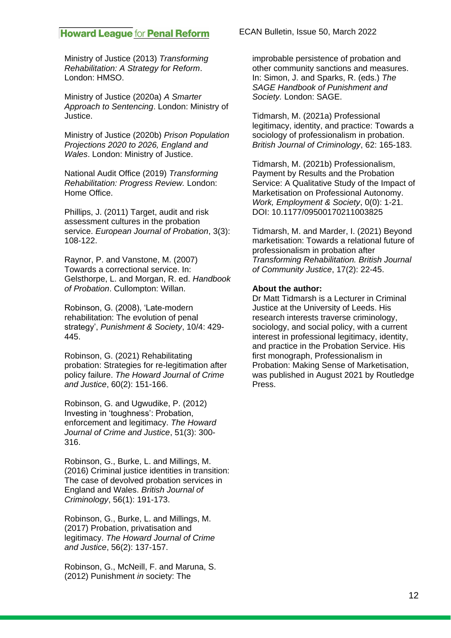Ministry of Justice (2013) *Transforming Rehabilitation: A Strategy for Reform*. London: HMSO.

Ministry of Justice (2020a) *A Smarter Approach to Sentencing*. London: Ministry of Justice.

Ministry of Justice (2020b) *Prison Population Projections 2020 to 2026, England and Wales*. London: Ministry of Justice.

National Audit Office (2019) *Transforming Rehabilitation: Progress Review.* London: Home Office.

Phillips, J. (2011) Target, audit and risk assessment cultures in the probation service. *European Journal of Probation*, 3(3): 108-122.

Raynor, P. and Vanstone, M. (2007) Towards a correctional service. In: Gelsthorpe, L. and Morgan, R. ed. *Handbook of Probation*. Cullompton: Willan.

Robinson, G. (2008), 'Late-modern rehabilitation: The evolution of penal strategy', *Punishment & Society*, 10/4: 429- 445.

Robinson, G. (2021) Rehabilitating probation: Strategies for re-legitimation after policy failure. *The Howard Journal of Crime and Justice*, 60(2): 151-166.

Robinson, G. and Ugwudike, P. (2012) Investing in 'toughness': Probation, enforcement and legitimacy. *The Howard Journal of Crime and Justice*, 51(3): 300- 316.

Robinson, G., Burke, L. and Millings, M. (2016) Criminal justice identities in transition: The case of devolved probation services in England and Wales. *British Journal of Criminology*, 56(1): 191-173.

Robinson, G., Burke, L. and Millings, M. (2017) Probation, privatisation and legitimacy. *The Howard Journal of Crime and Justice*, 56(2): 137-157.

Robinson, G., McNeill, F. and Maruna, S. (2012) Punishment *in* society: The

ECAN Bulletin, Issue 50, March 2022

improbable persistence of probation and other community sanctions and measures. In: Simon, J. and Sparks, R. (eds.) *The SAGE Handbook of Punishment and Society.* London: SAGE.

Tidmarsh, M. (2021a) Professional legitimacy, identity, and practice: Towards a sociology of professionalism in probation. *British Journal of Criminology*, 62: 165-183.

Tidmarsh, M. (2021b) Professionalism, Payment by Results and the Probation Service: A Qualitative Study of the Impact of Marketisation on Professional Autonomy. *Work, Employment & Society*, 0(0): 1-21. DOI: 10.1177/09500170211003825

Tidmarsh, M. and Marder, I. (2021) Beyond marketisation: Towards a relational future of professionalism in probation after *Transforming Rehabilitation. British Journal of Community Justice*, 17(2): 22-45.

#### **About the author:**

Dr Matt Tidmarsh is a Lecturer in Criminal Justice at the University of Leeds. His research interests traverse criminology, sociology, and social policy, with a current interest in professional legitimacy, identity, and practice in the Probation Service. His first monograph, Professionalism in Probation: Making Sense of Marketisation, was published in August 2021 by Routledge Press.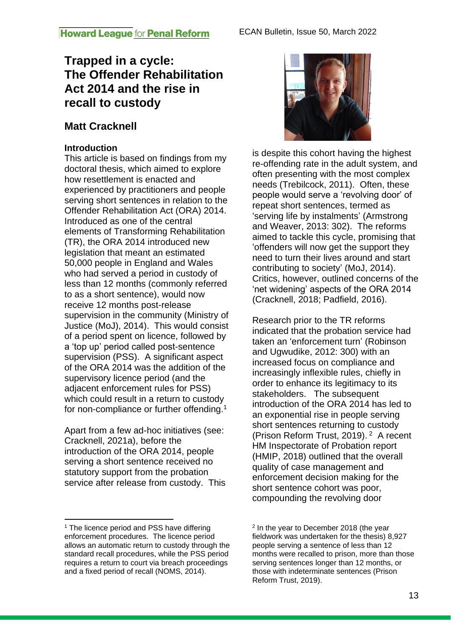# **Trapped in a cycle: The Offender Rehabilitation Act 2014 and the rise in recall to custody**

# **Matt Cracknell**

# **Introduction**

This article is based on findings from my doctoral thesis, which aimed to explore how resettlement is enacted and experienced by practitioners and people serving short sentences in relation to the Offender Rehabilitation Act (ORA) 2014. Introduced as one of the central elements of Transforming Rehabilitation (TR), the ORA 2014 introduced new legislation that meant an estimated 50,000 people in England and Wales who had served a period in custody of less than 12 months (commonly referred to as a short sentence), would now receive 12 months post-release supervision in the community (Ministry of Justice (MoJ), 2014). This would consist of a period spent on licence, followed by a 'top up' period called post-sentence supervision (PSS). A significant aspect of the ORA 2014 was the addition of the supervisory licence period (and the adjacent enforcement rules for PSS) which could result in a return to custody for non-compliance or further offending.<sup>1</sup>

Apart from a few ad-hoc initiatives (see: Cracknell, 2021a), before the introduction of the ORA 2014, people serving a short sentence received no statutory support from the probation service after release from custody. This



is despite this cohort having the highest re-offending rate in the adult system, and often presenting with the most complex needs (Trebilcock, 2011). Often, these people would serve a 'revolving door' of repeat short sentences, termed as 'serving life by instalments' (Armstrong and Weaver, 2013: 302). The reforms aimed to tackle this cycle, promising that 'offenders will now get the support they need to turn their lives around and start contributing to society' (MoJ, 2014). Critics, however, outlined concerns of the 'net widening' aspects of the ORA 2014 (Cracknell, 2018; Padfield, 2016).

Research prior to the TR reforms indicated that the probation service had taken an 'enforcement turn' (Robinson and Ugwudike, 2012: 300) with an increased focus on compliance and increasingly inflexible rules, chiefly in order to enhance its legitimacy to its stakeholders. The subsequent introduction of the ORA 2014 has led to an exponential rise in people serving short sentences returning to custody (Prison Reform Trust, 2019).<sup>2</sup> A recent HM Inspectorate of Probation report (HMIP, 2018) outlined that the overall quality of case management and enforcement decision making for the short sentence cohort was poor, compounding the revolving door

 $1$  The licence period and PSS have differing enforcement procedures. The licence period allows an automatic return to custody through the standard recall procedures, while the PSS period requires a return to court via breach proceedings and a fixed period of recall (NOMS, 2014).

<sup>&</sup>lt;sup>2</sup> In the year to December 2018 (the year fieldwork was undertaken for the thesis) 8,927 people serving a sentence of less than 12 months were recalled to prison, more than those serving sentences longer than 12 months, or those with indeterminate sentences (Prison Reform Trust, 2019).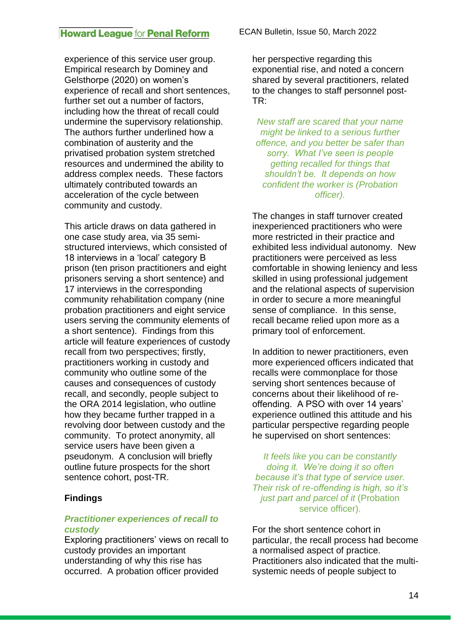experience of this service user group. Empirical research by Dominey and Gelsthorpe (2020) on women's experience of recall and short sentences, further set out a number of factors, including how the threat of recall could undermine the supervisory relationship. The authors further underlined how a combination of austerity and the privatised probation system stretched resources and undermined the ability to address complex needs. These factors ultimately contributed towards an acceleration of the cycle between community and custody.

This article draws on data gathered in one case study area, via 35 semistructured interviews, which consisted of 18 interviews in a 'local' category B prison (ten prison practitioners and eight prisoners serving a short sentence) and 17 interviews in the corresponding community rehabilitation company (nine probation practitioners and eight service users serving the community elements of a short sentence). Findings from this article will feature experiences of custody recall from two perspectives; firstly, practitioners working in custody and community who outline some of the causes and consequences of custody recall, and secondly, people subject to the ORA 2014 legislation, who outline how they became further trapped in a revolving door between custody and the community. To protect anonymity, all service users have been given a pseudonym. A conclusion will briefly outline future prospects for the short sentence cohort, post-TR.

### **Findings**

#### *Practitioner experiences of recall to custody*

Exploring practitioners' views on recall to custody provides an important understanding of why this rise has occurred. A probation officer provided

ECAN Bulletin, Issue 50, March 2022

her perspective regarding this exponential rise, and noted a concern shared by several practitioners, related to the changes to staff personnel post-TR:

*New staff are scared that your name might be linked to a serious further offence, and you better be safer than sorry. What I've seen is people getting recalled for things that shouldn't be. It depends on how confident the worker is (Probation officer).*

The changes in staff turnover created inexperienced practitioners who were more restricted in their practice and exhibited less individual autonomy. New practitioners were perceived as less comfortable in showing leniency and less skilled in using professional judgement and the relational aspects of supervision in order to secure a more meaningful sense of compliance. In this sense, recall became relied upon more as a primary tool of enforcement.

In addition to newer practitioners, even more experienced officers indicated that recalls were commonplace for those serving short sentences because of concerns about their likelihood of reoffending. A PSO with over 14 years' experience outlined this attitude and his particular perspective regarding people he supervised on short sentences:

*It feels like you can be constantly doing it. We're doing it so often because it's that type of service user. Their risk of re-offending is high, so it's just part and parcel of it* (Probation service officer).

For the short sentence cohort in particular, the recall process had become a normalised aspect of practice. Practitioners also indicated that the multisystemic needs of people subject to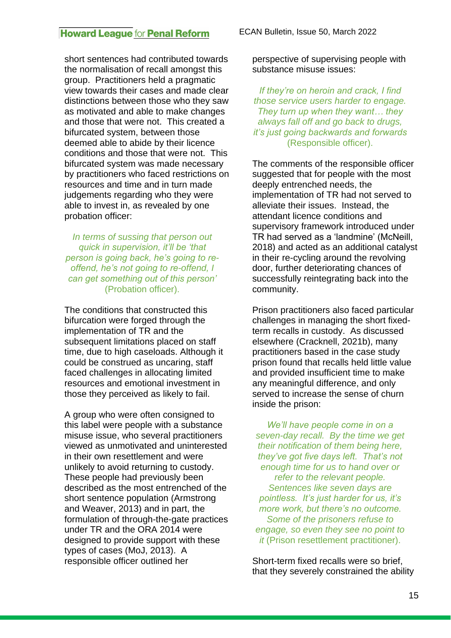short sentences had contributed towards the normalisation of recall amongst this group. Practitioners held a pragmatic view towards their cases and made clear distinctions between those who they saw as motivated and able to make changes and those that were not. This created a bifurcated system, between those deemed able to abide by their licence conditions and those that were not. This bifurcated system was made necessary by practitioners who faced restrictions on resources and time and in turn made judgements regarding who they were able to invest in, as revealed by one probation officer:

*In terms of sussing that person out quick in supervision, it'll be 'that person is going back, he's going to reoffend, he's not going to re-offend, I can get something out of this person'*  (Probation officer).

The conditions that constructed this bifurcation were forged through the implementation of TR and the subsequent limitations placed on staff time, due to high caseloads. Although it could be construed as uncaring, staff faced challenges in allocating limited resources and emotional investment in those they perceived as likely to fail.

A group who were often consigned to this label were people with a substance misuse issue, who several practitioners viewed as unmotivated and uninterested in their own resettlement and were unlikely to avoid returning to custody. These people had previously been described as the most entrenched of the short sentence population (Armstrong and Weaver, 2013) and in part, the formulation of through-the-gate practices under TR and the ORA 2014 were designed to provide support with these types of cases (MoJ, 2013). A responsible officer outlined her

perspective of supervising people with substance misuse issues:

*If they're on heroin and crack, I find those service users harder to engage. They turn up when they want… they always fall off and go back to drugs, it's just going backwards and forwards*  (Responsible officer).

The comments of the responsible officer suggested that for people with the most deeply entrenched needs, the implementation of TR had not served to alleviate their issues. Instead, the attendant licence conditions and supervisory framework introduced under TR had served as a 'landmine' (McNeill, 2018) and acted as an additional catalyst in their re-cycling around the revolving door, further deteriorating chances of successfully reintegrating back into the community.

Prison practitioners also faced particular challenges in managing the short fixedterm recalls in custody. As discussed elsewhere (Cracknell, 2021b), many practitioners based in the case study prison found that recalls held little value and provided insufficient time to make any meaningful difference, and only served to increase the sense of churn inside the prison:

*We'll have people come in on a seven-day recall. By the time we get their notification of them being here, they've got five days left. That's not enough time for us to hand over or refer to the relevant people. Sentences like seven days are pointless. It's just harder for us, it's more work, but there's no outcome. Some of the prisoners refuse to engage, so even they see no point to it* (Prison resettlement practitioner).

Short-term fixed recalls were so brief, that they severely constrained the ability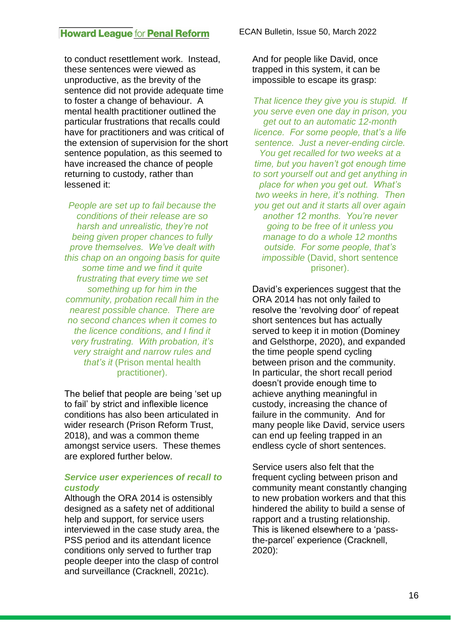to conduct resettlement work. Instead, these sentences were viewed as unproductive, as the brevity of the sentence did not provide adequate time to foster a change of behaviour. A mental health practitioner outlined the particular frustrations that recalls could have for practitioners and was critical of the extension of supervision for the short sentence population, as this seemed to have increased the chance of people returning to custody, rather than lessened it:

*People are set up to fail because the conditions of their release are so harsh and unrealistic, they're not being given proper chances to fully prove themselves. We've dealt with this chap on an ongoing basis for quite some time and we find it quite frustrating that every time we set something up for him in the community, probation recall him in the nearest possible chance. There are no second chances when it comes to the licence conditions, and I find it very frustrating. With probation, it's very straight and narrow rules and that's it* (Prison mental health practitioner).

The belief that people are being 'set up to fail' by strict and inflexible licence conditions has also been articulated in wider research (Prison Reform Trust, 2018), and was a common theme amongst service users. These themes are explored further below.

#### *Service user experiences of recall to custody*

Although the ORA 2014 is ostensibly designed as a safety net of additional help and support, for service users interviewed in the case study area, the PSS period and its attendant licence conditions only served to further trap people deeper into the clasp of control and surveillance (Cracknell, 2021c).

And for people like David, once trapped in this system, it can be impossible to escape its grasp:

*That licence they give you is stupid. If you serve even one day in prison, you get out to an automatic 12-month licence. For some people, that's a life sentence. Just a never-ending circle. You get recalled for two weeks at a time, but you haven't got enough time to sort yourself out and get anything in place for when you get out. What's two weeks in here, it's nothing. Then you get out and it starts all over again another 12 months. You're never going to be free of it unless you manage to do a whole 12 months outside. For some people, that's impossible* (David, short sentence prisoner).

David's experiences suggest that the ORA 2014 has not only failed to resolve the 'revolving door' of repeat short sentences but has actually served to keep it in motion (Dominey and Gelsthorpe, 2020), and expanded the time people spend cycling between prison and the community. In particular, the short recall period doesn't provide enough time to achieve anything meaningful in custody, increasing the chance of failure in the community. And for many people like David, service users can end up feeling trapped in an endless cycle of short sentences.

Service users also felt that the frequent cycling between prison and community meant constantly changing to new probation workers and that this hindered the ability to build a sense of rapport and a trusting relationship. This is likened elsewhere to a 'passthe-parcel' experience (Cracknell, 2020):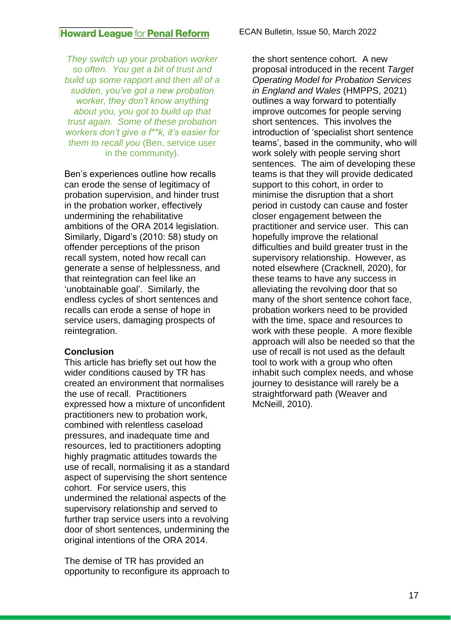*They switch up your probation worker so often. You get a bit of trust and build up some rapport and then all of a sudden, you've got a new probation worker, they don't know anything about you, you got to build up that trust again. Some of these probation workers don't give a f\*\*k, it's easier for them to recall you* (Ben, service user in the community).

Ben's experiences outline how recalls can erode the sense of legitimacy of probation supervision, and hinder trust in the probation worker, effectively undermining the rehabilitative ambitions of the ORA 2014 legislation. Similarly, Digard's (2010: 58) study on offender perceptions of the prison recall system, noted how recall can generate a sense of helplessness, and that reintegration can feel like an 'unobtainable goal'. Similarly, the endless cycles of short sentences and recalls can erode a sense of hope in service users, damaging prospects of reintegration.

### **Conclusion**

This article has briefly set out how the wider conditions caused by TR has created an environment that normalises the use of recall. Practitioners expressed how a mixture of unconfident practitioners new to probation work, combined with relentless caseload pressures, and inadequate time and resources, led to practitioners adopting highly pragmatic attitudes towards the use of recall, normalising it as a standard aspect of supervising the short sentence cohort. For service users, this undermined the relational aspects of the supervisory relationship and served to further trap service users into a revolving door of short sentences, undermining the original intentions of the ORA 2014.

The demise of TR has provided an opportunity to reconfigure its approach to the short sentence cohort. A new proposal introduced in the recent *Target Operating Model for Probation Services in England and Wales* (HMPPS, 2021) outlines a way forward to potentially improve outcomes for people serving short sentences. This involves the introduction of 'specialist short sentence teams', based in the community, who will work solely with people serving short sentences. The aim of developing these teams is that they will provide dedicated support to this cohort, in order to minimise the disruption that a short period in custody can cause and foster closer engagement between the practitioner and service user. This can hopefully improve the relational difficulties and build greater trust in the supervisory relationship. However, as noted elsewhere (Cracknell, 2020), for these teams to have any success in alleviating the revolving door that so many of the short sentence cohort face, probation workers need to be provided with the time, space and resources to work with these people. A more flexible approach will also be needed so that the use of recall is not used as the default tool to work with a group who often inhabit such complex needs, and whose journey to desistance will rarely be a straightforward path (Weaver and McNeill, 2010).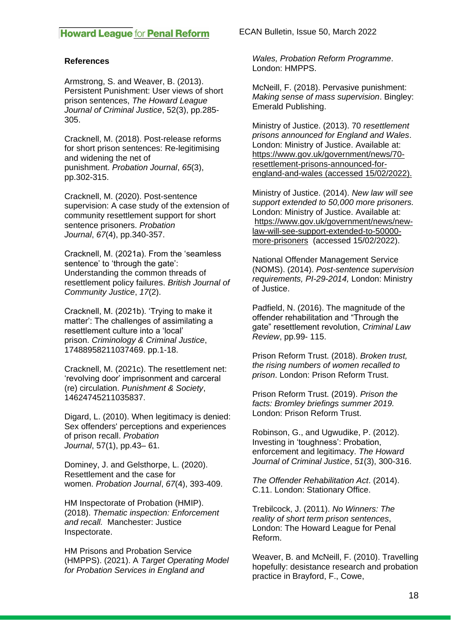#### **References**

Armstrong, S. and Weaver, B. (2013). Persistent Punishment: User views of short prison sentences, *The Howard League Journal of Criminal Justice*, 52(3), pp.285- 305.

Cracknell, M. (2018). Post-release reforms for short prison sentences: Re-legitimising and widening the net of punishment. *Probation Journal*, *65*(3), pp.302-315.

Cracknell, M. (2020). Post-sentence supervision: A case study of the extension of community resettlement support for short sentence prisoners. *Probation Journal*, *67*(4), pp.340-357.

Cracknell, M. (2021a). From the 'seamless sentence' to 'through the gate': Understanding the common threads of resettlement policy failures. *British Journal of Community Justice*, *17*(2).

Cracknell, M. (2021b). 'Trying to make it matter': The challenges of assimilating a resettlement culture into a 'local' prison. *Criminology & Criminal Justice*, 17488958211037469. pp.1-18.

Cracknell, M. (2021c). The resettlement net: 'revolving door' imprisonment and carceral (re) circulation. *Punishment & Society*, 14624745211035837.

Digard, L. (2010). When legitimacy is denied: Sex offenders' perceptions and experiences of prison recall. *Probation Journal*, 57(1), pp.43– 61.

Dominey, J. and Gelsthorpe, L. (2020). Resettlement and the case for women. *Probation Journal*, *67*(4), 393-409.

HM Inspectorate of Probation (HMIP). (2018). *Thematic inspection: Enforcement and recall.* Manchester: Justice Inspectorate.

HM Prisons and Probation Service (HMPPS). (2021). A *Target Operating Model for Probation Services in England and* 

ECAN Bulletin, Issue 50, March 2022

*Wales, Probation Reform Programme*. London: HMPPS.

McNeill, F. (2018). Pervasive punishment: *Making sense of mass supervision*. Bingley: Emerald Publishing.

Ministry of Justice. (2013). 70 *resettlement prisons announced for England and Wales*. London: Ministry of Justice. Available at: [https://www.gov.uk/government/news/70](https://www.gov.uk/government/news/70-resettlement-prisons-announced-for-england-and-wales) [resettlement-prisons-announced-for](https://www.gov.uk/government/news/70-resettlement-prisons-announced-for-england-and-wales)[england-and-wales](https://www.gov.uk/government/news/70-resettlement-prisons-announced-for-england-and-wales) (accessed 15/02/2022).

Ministry of Justice. (2014). *New law will see support extended to 50,000 more prisoners.* London: Ministry of Justice. Available at: [https://www.gov.uk/government/news/new](https://www.gov.uk/government/news/new-law-will-see-support-extended-to-50000-more-prisoners)[law-will-see-support-extended-to-50000](https://www.gov.uk/government/news/new-law-will-see-support-extended-to-50000-more-prisoners) [more-prisoners](https://www.gov.uk/government/news/new-law-will-see-support-extended-to-50000-more-prisoners) (accessed 15/02/2022).

National Offender Management Service (NOMS). (2014). *Post-sentence supervision requirements, PI-29-2014,* London: Ministry of Justice.

Padfield, N. (2016). The magnitude of the offender rehabilitation and "Through the gate" resettlement revolution, *Criminal Law Review*, pp.99- 115.

Prison Reform Trust. (2018). *Broken trust, the rising numbers of women recalled to prison*. London: Prison Reform Trust.

Prison Reform Trust. (2019). *Prison the facts: Bromley briefings summer 2019.*  London: Prison Reform Trust.

Robinson, G., and Ugwudike, P. (2012). Investing in 'toughness': Probation, enforcement and legitimacy. *The Howard Journal of Criminal Justice*, *51*(3), 300-316.

*The Offender Rehabilitation Act*. (2014). C.11. London: Stationary Office.

Trebilcock, J. (2011). *No Winners: The reality of short term prison sentences*, London: The Howard League for Penal Reform.

Weaver, B. and McNeill, F. (2010). Travelling hopefully: desistance research and probation practice in Brayford, F., Cowe,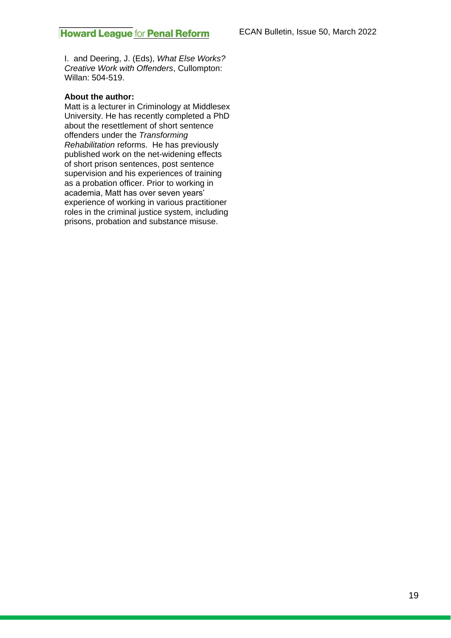I. and Deering, J. (Eds), *What Else Works? Creative Work with Offenders*, Cullompton: Willan: 504-519.

#### **About the author:**

Matt is a lecturer in Criminology at Middlesex University. He has recently completed a PhD about the resettlement of short sentence offenders under the *Transforming Rehabilitation* reforms. He has previously published work on the net-widening effects of short prison sentences, post sentence supervision and his experiences of training as a probation officer. Prior to working in academia, Matt has over seven years' experience of working in various practitioner roles in the criminal justice system, including prisons, probation and substance misuse.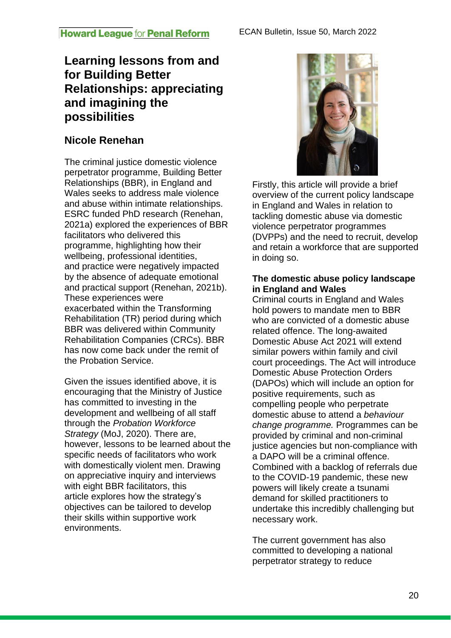# **Learning lessons from and for Building Better Relationships: appreciating and imagining the possibilities**

# **Nicole Renehan**

The criminal justice domestic violence perpetrator programme, Building Better Relationships (BBR), in England and Wales seeks to address male violence and abuse within intimate relationships. ESRC funded PhD research (Renehan, 2021a) explored the experiences of BBR facilitators who delivered this programme, highlighting how their wellbeing, professional identities, and practice were negatively impacted by the absence of adequate emotional and practical support (Renehan, 2021b). These experiences were exacerbated within the Transforming Rehabilitation (TR) period during which BBR was delivered within Community Rehabilitation Companies (CRCs). BBR has now come back under the remit of the Probation Service.

Given the issues identified above, it is encouraging that the Ministry of Justice has committed to investing in the development and wellbeing of all staff through the *Probation Workforce Strategy* (MoJ, 2020). There are, however, lessons to be learned about the specific needs of facilitators who work with domestically violent men. Drawing on appreciative inquiry and interviews with eight BBR facilitators, this article explores how the strategy's objectives can be tailored to develop their skills within supportive work environments.



Firstly, this article will provide a brief overview of the current policy landscape in England and Wales in relation to tackling domestic abuse via domestic violence perpetrator programmes (DVPPs) and the need to recruit, develop and retain a workforce that are supported in doing so.

### **The domestic abuse policy landscape in England and Wales**

Criminal courts in England and Wales hold powers to mandate men to BBR who are convicted of a domestic abuse related offence. The long-awaited Domestic Abuse Act 2021 will extend similar powers within family and civil court proceedings. The Act will introduce Domestic Abuse Protection Orders (DAPOs) which will include an option for positive requirements, such as compelling people who perpetrate domestic abuse to attend a *behaviour change programme.* Programmes can be provided by criminal and non-criminal justice agencies but non-compliance with a DAPO will be a criminal offence. Combined with a backlog of referrals due to the COVID-19 pandemic, these new powers will likely create a tsunami demand for skilled practitioners to undertake this incredibly challenging but necessary work.

The current government has also committed to developing a national perpetrator strategy to reduce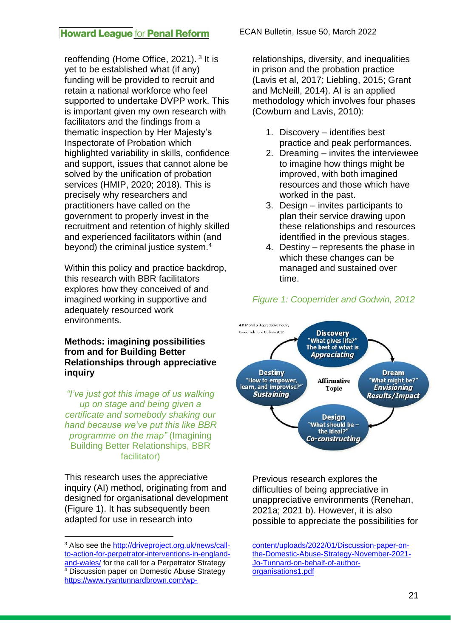reoffending (Home Office, 2021).<sup>3</sup> It is yet to be established what (if any) funding will be provided to recruit and retain a national workforce who feel supported to undertake DVPP work. This is important given my own research with facilitators and the findings from a thematic inspection by Her Majesty's Inspectorate of Probation which highlighted variability in skills, confidence and support, issues that cannot alone be solved by the unification of probation services (HMIP, 2020; 2018). This is precisely why researchers and practitioners have called on the government to properly invest in the recruitment and retention of highly skilled and experienced facilitators within (and beyond) the criminal justice system.<sup>4</sup>

Within this policy and practice backdrop, this research with BBR facilitators explores how they conceived of and imagined working in supportive and adequately resourced work environments.

#### **Methods: imagining possibilities from and for Building Better Relationships through appreciative inquiry**

*"I've just got this image of us walking up on stage and being given a certificate and somebody shaking our hand because we've put this like BBR programme on the map"* (Imagining Building Better Relationships, BBR facilitator)

This research uses the appreciative inquiry (AI) method, originating from and designed for organisational development (Figure 1). It has subsequently been adapted for use in research into

ECAN Bulletin, Issue 50, March 2022

relationships, diversity, and inequalities in prison and the probation practice (Lavis et al, 2017; Liebling, 2015; Grant and McNeill, 2014). AI is an applied methodology which involves four phases (Cowburn and Lavis, 2010):

- 1. Discovery identifies best practice and peak performances.
- 2. Dreaming invites the interviewee to imagine how things might be improved, with both imagined resources and those which have worked in the past.
- 3. Design invites participants to plan their service drawing upon these relationships and resources identified in the previous stages.
- 4. Destiny represents the phase in which these changes can be managed and sustained over time.

# *Figure 1: Cooperrider and Godwin, 2012*



Previous research explores the difficulties of being appreciative in unappreciative environments (Renehan, 2021a; 2021 b). However, it is also possible to appreciate the possibilities for

[content/uploads/2022/01/Discussion-paper-on](https://www.ryantunnardbrown.com/wp-content/uploads/2022/01/Discussion-paper-on-the-Domestic-Abuse-Strategy-November-2021-Jo-Tunnard-on-behalf-of-author-organisations1.pdf)[the-Domestic-Abuse-Strategy-November-2021-](https://www.ryantunnardbrown.com/wp-content/uploads/2022/01/Discussion-paper-on-the-Domestic-Abuse-Strategy-November-2021-Jo-Tunnard-on-behalf-of-author-organisations1.pdf) [Jo-Tunnard-on-behalf-of-author](https://www.ryantunnardbrown.com/wp-content/uploads/2022/01/Discussion-paper-on-the-Domestic-Abuse-Strategy-November-2021-Jo-Tunnard-on-behalf-of-author-organisations1.pdf)[organisations1.pdf](https://www.ryantunnardbrown.com/wp-content/uploads/2022/01/Discussion-paper-on-the-Domestic-Abuse-Strategy-November-2021-Jo-Tunnard-on-behalf-of-author-organisations1.pdf)

<sup>3</sup> Also see the [http://driveproject.org.uk/news/call](http://driveproject.org.uk/news/call-to-action-for-perpetrator-interventions-in-england-and-wales/)[to-action-for-perpetrator-interventions-in-england](http://driveproject.org.uk/news/call-to-action-for-perpetrator-interventions-in-england-and-wales/)[and-wales/](http://driveproject.org.uk/news/call-to-action-for-perpetrator-interventions-in-england-and-wales/) for the call for a Perpetrator Strategy <sup>4</sup> Discussion paper on Domestic Abuse Strategy [https://www.ryantunnardbrown.com/wp-](https://www.ryantunnardbrown.com/wp-content/uploads/2022/01/Discussion-paper-on-the-Domestic-Abuse-Strategy-November-2021-Jo-Tunnard-on-behalf-of-author-organisations1.pdf)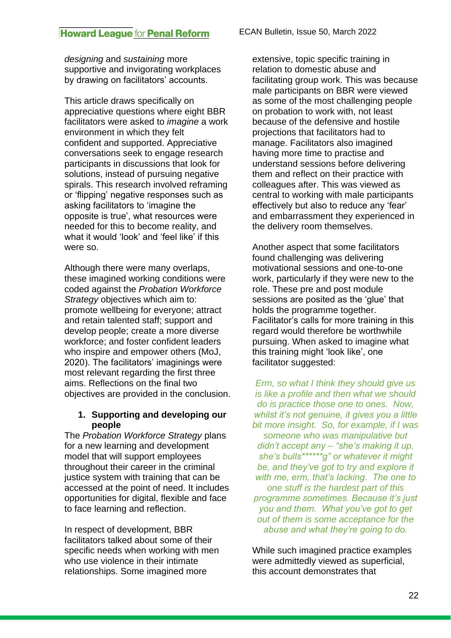*designing* and *sustaining* more supportive and invigorating workplaces by drawing on facilitators' accounts.

This article draws specifically on appreciative questions where eight BBR facilitators were asked to *imagine* a work environment in which they felt confident and supported. Appreciative conversations seek to engage research participants in discussions that look for solutions, instead of pursuing negative spirals. This research involved reframing or 'flipping' negative responses such as asking facilitators to 'imagine the opposite is true', what resources were needed for this to become reality, and what it would 'look' and 'feel like' if this were so.

Although there were many overlaps, these imagined working conditions were coded against the *Probation Workforce Strategy* objectives which aim to: promote wellbeing for everyone; attract and retain talented staff; support and develop people; create a more diverse workforce; and foster confident leaders who inspire and empower others (MoJ, 2020). The facilitators' imaginings were most relevant regarding the first three aims. Reflections on the final two objectives are provided in the conclusion.

### **1. Supporting and developing our people**

The *Probation Workforce Strategy* plans for a new learning and development model that will support employees throughout their career in the criminal justice system with training that can be accessed at the point of need. It includes opportunities for digital, flexible and face to face learning and reflection.

In respect of development, BBR facilitators talked about some of their specific needs when working with men who use violence in their intimate relationships. Some imagined more

extensive, topic specific training in relation to domestic abuse and facilitating group work. This was because male participants on BBR were viewed as some of the most challenging people on probation to work with, not least because of the defensive and hostile projections that facilitators had to manage. Facilitators also imagined having more time to practise and understand sessions before delivering them and reflect on their practice with colleagues after. This was viewed as central to working with male participants effectively but also to reduce any 'fear' and embarrassment they experienced in the delivery room themselves.

Another aspect that some facilitators found challenging was delivering motivational sessions and one-to-one work, particularly if they were new to the role. These pre and post module sessions are posited as the 'glue' that holds the programme together. Facilitator's calls for more training in this regard would therefore be worthwhile pursuing. When asked to imagine what this training might 'look like', one facilitator suggested:

*Erm, so what I think they should give us is like a profile and then what we should do is practice those one to ones. Now, whilst it's not genuine, it gives you a little bit more insight. So, for example, if I was someone who was manipulative but didn't accept any – "she's making it up, she's bulls\*\*\*\*\*\*g" or whatever it might be, and they've got to try and explore it with me, erm, that's lacking. The one to one stuff is the hardest part of this programme sometimes. Because it's just you and them. What you've got to get out of them is some acceptance for the abuse and what they're going to do.*

While such imagined practice examples were admittedly viewed as superficial, this account demonstrates that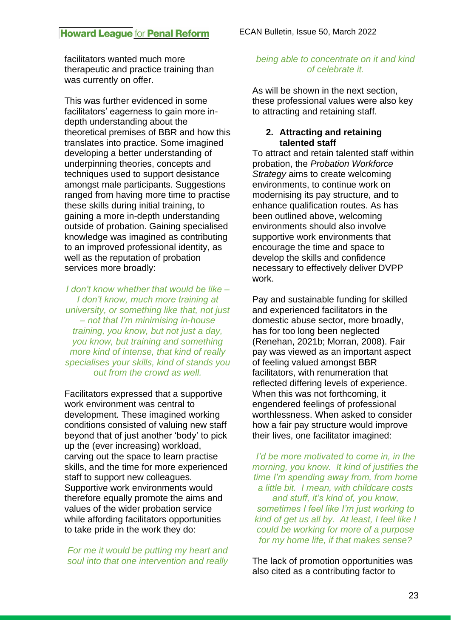facilitators wanted much more therapeutic and practice training than was currently on offer.

This was further evidenced in some facilitators' eagerness to gain more indepth understanding about the theoretical premises of BBR and how this translates into practice. Some imagined developing a better understanding of underpinning theories, concepts and techniques used to support desistance amongst male participants. Suggestions ranged from having more time to practise these skills during initial training, to gaining a more in-depth understanding outside of probation. Gaining specialised knowledge was imagined as contributing to an improved professional identity, as well as the reputation of probation services more broadly:

*I don't know whether that would be like – I don't know, much more training at university, or something like that, not just – not that I'm minimising in-house training, you know, but not just a day, you know, but training and something more kind of intense, that kind of really specialises your skills, kind of stands you out from the crowd as well.*

Facilitators expressed that a supportive work environment was central to development. These imagined working conditions consisted of valuing new staff beyond that of just another 'body' to pick up the (ever increasing) workload, carving out the space to learn practise skills, and the time for more experienced staff to support new colleagues. Supportive work environments would therefore equally promote the aims and values of the wider probation service while affording facilitators opportunities to take pride in the work they do:

*For me it would be putting my heart and soul into that one intervention and really* 

#### *being able to concentrate on it and kind of celebrate it.*

As will be shown in the next section, these professional values were also key to attracting and retaining staff.

### **2. Attracting and retaining talented staff**

To attract and retain talented staff within probation, the *Probation Workforce Strategy* aims to create welcoming environments, to continue work on modernising its pay structure, and to enhance qualification routes. As has been outlined above, welcoming environments should also involve supportive work environments that encourage the time and space to develop the skills and confidence necessary to effectively deliver DVPP work.

Pay and sustainable funding for skilled and experienced facilitators in the domestic abuse sector, more broadly, has for too long been neglected (Renehan, 2021b; Morran, 2008). Fair pay was viewed as an important aspect of feeling valued amongst BBR facilitators, with renumeration that reflected differing levels of experience. When this was not forthcoming, it engendered feelings of professional worthlessness. When asked to consider how a fair pay structure would improve their lives, one facilitator imagined:

*I'd be more motivated to come in, in the morning, you know. It kind of justifies the time I'm spending away from, from home a little bit. I mean, with childcare costs and stuff, it's kind of, you know, sometimes I feel like I'm just working to kind of get us all by. At least, I feel like I could be working for more of a purpose for my home life, if that makes sense?*

The lack of promotion opportunities was also cited as a contributing factor to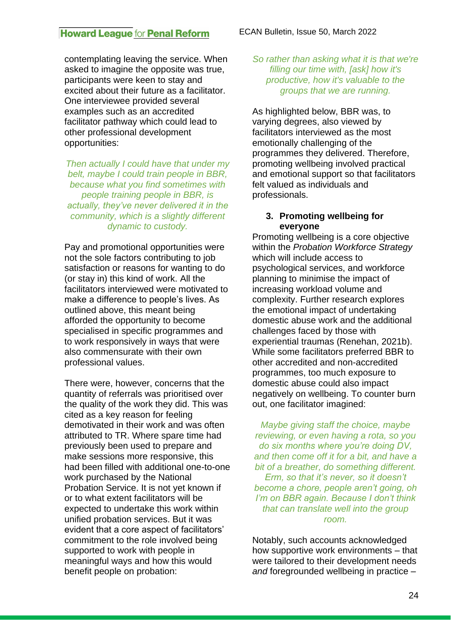contemplating leaving the service. When asked to imagine the opposite was true, participants were keen to stay and excited about their future as a facilitator. One interviewee provided several examples such as an accredited facilitator pathway which could lead to other professional development opportunities:

*Then actually I could have that under my belt, maybe I could train people in BBR, because what you find sometimes with people training people in BBR, is actually, they've never delivered it in the community, which is a slightly different dynamic to custody.*

Pay and promotional opportunities were not the sole factors contributing to job satisfaction or reasons for wanting to do (or stay in) this kind of work. All the facilitators interviewed were motivated to make a difference to people's lives. As outlined above, this meant being afforded the opportunity to become specialised in specific programmes and to work responsively in ways that were also commensurate with their own professional values.

There were, however, concerns that the quantity of referrals was prioritised over the quality of the work they did. This was cited as a key reason for feeling demotivated in their work and was often attributed to TR. Where spare time had previously been used to prepare and make sessions more responsive, this had been filled with additional one-to-one work purchased by the National Probation Service. It is not yet known if or to what extent facilitators will be expected to undertake this work within unified probation services. But it was evident that a core aspect of facilitators' commitment to the role involved being supported to work with people in meaningful ways and how this would benefit people on probation:

*So rather than asking what it is that we're filling our time with, [ask] how it's productive, how it's valuable to the groups that we are running.*

As highlighted below, BBR was, to varying degrees, also viewed by facilitators interviewed as the most emotionally challenging of the programmes they delivered. Therefore, promoting wellbeing involved practical and emotional support so that facilitators felt valued as individuals and professionals.

#### **3. Promoting wellbeing for everyone**

Promoting wellbeing is a core objective within the *Probation Workforce Strategy* which will include access to psychological services, and workforce planning to minimise the impact of increasing workload volume and complexity. Further research explores the emotional impact of undertaking domestic abuse work and the additional challenges faced by those with experiential traumas (Renehan, 2021b). While some facilitators preferred BBR to other accredited and non-accredited programmes, too much exposure to domestic abuse could also impact negatively on wellbeing. To counter burn out, one facilitator imagined:

*Maybe giving staff the choice, maybe reviewing, or even having a rota, so you do six months where you're doing DV, and then come off it for a bit, and have a bit of a breather, do something different. Erm, so that it's never, so it doesn't become a chore, people aren't going, oh I'm on BBR again. Because I don't think that can translate well into the group room.*

Notably, such accounts acknowledged how supportive work environments – that were tailored to their development needs *and* foregrounded wellbeing in practice –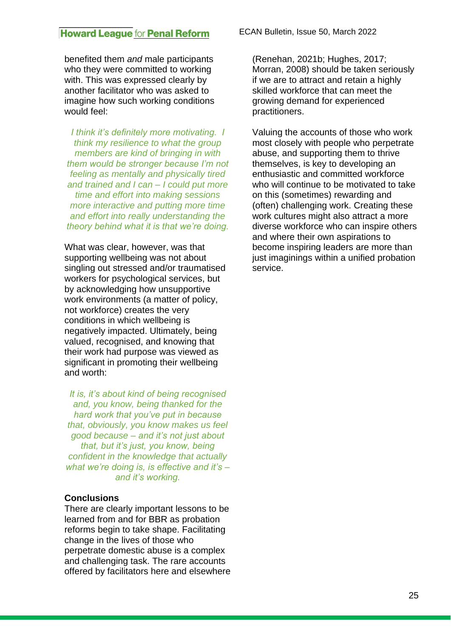benefited them *and* male participants who they were committed to working with. This was expressed clearly by another facilitator who was asked to imagine how such working conditions would feel:

*I think it's definitely more motivating. I think my resilience to what the group members are kind of bringing in with them would be stronger because I'm not feeling as mentally and physically tired and trained and I can – I could put more time and effort into making sessions more interactive and putting more time and effort into really understanding the theory behind what it is that we're doing.*

What was clear, however, was that supporting wellbeing was not about singling out stressed and/or traumatised workers for psychological services, but by acknowledging how unsupportive work environments (a matter of policy, not workforce) creates the very conditions in which wellbeing is negatively impacted. Ultimately, being valued, recognised, and knowing that their work had purpose was viewed as significant in promoting their wellbeing and worth:

*It is, it's about kind of being recognised and, you know, being thanked for the hard work that you've put in because that, obviously, you know makes us feel good because – and it's not just about that, but it's just, you know, being confident in the knowledge that actually what we're doing is, is effective and it's – and it's working.*

#### **Conclusions**

There are clearly important lessons to be learned from and for BBR as probation reforms begin to take shape. Facilitating change in the lives of those who perpetrate domestic abuse is a complex and challenging task. The rare accounts offered by facilitators here and elsewhere ECAN Bulletin, Issue 50, March 2022

(Renehan, 2021b; Hughes, 2017; Morran, 2008) should be taken seriously if we are to attract and retain a highly skilled workforce that can meet the growing demand for experienced practitioners.

Valuing the accounts of those who work most closely with people who perpetrate abuse, and supporting them to thrive themselves, is key to developing an enthusiastic and committed workforce who will continue to be motivated to take on this (sometimes) rewarding and (often) challenging work. Creating these work cultures might also attract a more diverse workforce who can inspire others and where their own aspirations to become inspiring leaders are more than just imaginings within a unified probation service.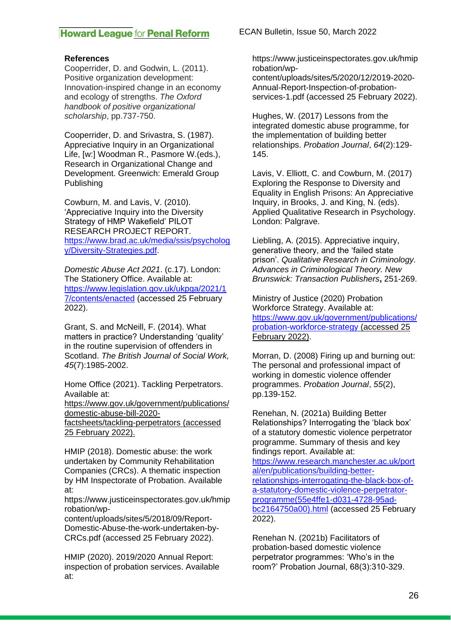#### **References**

Cooperrider, D. and Godwin, L. (2011). Positive organization development: Innovation-inspired change in an economy and ecology of strengths. *The Oxford handbook of positive organizational scholarship*, pp.737-750.

Cooperrider, D. and Srivastra, S. (1987). Appreciative Inquiry in an Organizational Life, [w:] Woodman R., Pasmore W.(eds.), Research in Organizational Change and Development. Greenwich: Emerald Group Publishing

Cowburn, M. and Lavis, V. (2010). 'Appreciative Inquiry into the Diversity Strategy of HMP Wakefield' PILOT RESEARCH PROJECT REPORT. [https://www.brad.ac.uk/media/ssis/psycholog](https://www.brad.ac.uk/media/ssis/psychology/Diversity-Strategies.pdf) [y/Diversity-Strategies.pdf.](https://www.brad.ac.uk/media/ssis/psychology/Diversity-Strategies.pdf)

*Domestic Abuse Act 2021*. (c.17). London: The Stationery Office. Available at: [https://www.legislation.gov.uk/ukpga/2021/1](https://www.legislation.gov.uk/ukpga/2021/17/contents/enacted) [7/contents/enacted](https://www.legislation.gov.uk/ukpga/2021/17/contents/enacted) (accessed 25 February 2022).

Grant, S. and McNeill, F. (2014). What matters in practice? Understanding 'quality' in the routine supervision of offenders in Scotland. *The British Journal of Social Work, 45*(7):1985-2002.

Home Office (2021). Tackling Perpetrators. Available at:

[https://www.gov.uk/government/publications/](https://www.gov.uk/government/publications/domestic-abuse-bill-2020-factsheets/tackling-perpetrators) [domestic-abuse-bill-2020](https://www.gov.uk/government/publications/domestic-abuse-bill-2020-factsheets/tackling-perpetrators) [factsheets/tackling-perpetrators](https://www.gov.uk/government/publications/domestic-abuse-bill-2020-factsheets/tackling-perpetrators) (accessed 25 February 2022).

HMIP (2018). Domestic abuse: the work undertaken by Community Rehabilitation Companies (CRCs). A thematic inspection by HM Inspectorate of Probation. Available at:

https://www.justiceinspectorates.gov.uk/hmip robation/wp-

content/uploads/sites/5/2018/09/Report-Domestic-Abuse-the-work-undertaken-by-CRCs.pdf (accessed 25 February 2022).

HMIP (2020). 2019/2020 Annual Report: inspection of probation services. Available at:

ECAN Bulletin, Issue 50, March 2022

https://www.justiceinspectorates.gov.uk/hmip robation/wp-

content/uploads/sites/5/2020/12/2019-2020- Annual-Report-Inspection-of-probationservices-1.pdf (accessed 25 February 2022).

Hughes, W. (2017) Lessons from the integrated domestic abuse programme, for the implementation of building better relationships. *Probation Journal*, *64*(2):129- 145.

Lavis, V. Elliott, C. and Cowburn, M. (2017) Exploring the Response to Diversity and Equality in English Prisons: An Appreciative Inquiry, in Brooks, J. and King, N. (eds). Applied Qualitative Research in Psychology. London: Palgrave.

Liebling, A. (2015). Appreciative inquiry, generative theory, and the 'failed state prison'. *Qualitative Research in Criminology. Advances in Criminological Theory. New Brunswick: Transaction Publishers***,** 251-269.

Ministry of Justice (2020) Probation Workforce Strategy. Available at: [https://www.gov.uk/government/publications/](https://www.gov.uk/government/publications/probation-workforce-strategy) [probation-workforce-strategy](https://www.gov.uk/government/publications/probation-workforce-strategy) (accessed 25 February 2022).

Morran, D. (2008) Firing up and burning out: The personal and professional impact of working in domestic violence offender programmes. *Probation Journal*, *55*(2), pp.139-152.

Renehan, N. (2021a) Building Better Relationships? Interrogating the 'black box' of a statutory domestic violence perpetrator programme. Summary of thesis and key findings report. Available at: [https://www.research.manchester.ac.uk/port](https://www.research.manchester.ac.uk/portal/en/publications/building-better-relationships-interrogating-the-black-box-of-a-statutory-domestic-violence-perpetrator-programme(55e4ffe1-d031-4728-95ad-bc2164750a00).html)

[al/en/publications/building-better](https://www.research.manchester.ac.uk/portal/en/publications/building-better-relationships-interrogating-the-black-box-of-a-statutory-domestic-violence-perpetrator-programme(55e4ffe1-d031-4728-95ad-bc2164750a00).html)[relationships-interrogating-the-black-box-of](https://www.research.manchester.ac.uk/portal/en/publications/building-better-relationships-interrogating-the-black-box-of-a-statutory-domestic-violence-perpetrator-programme(55e4ffe1-d031-4728-95ad-bc2164750a00).html)[a-statutory-domestic-violence-perpetrator](https://www.research.manchester.ac.uk/portal/en/publications/building-better-relationships-interrogating-the-black-box-of-a-statutory-domestic-violence-perpetrator-programme(55e4ffe1-d031-4728-95ad-bc2164750a00).html)[programme\(55e4ffe1-d031-4728-95ad](https://www.research.manchester.ac.uk/portal/en/publications/building-better-relationships-interrogating-the-black-box-of-a-statutory-domestic-violence-perpetrator-programme(55e4ffe1-d031-4728-95ad-bc2164750a00).html)[bc2164750a00\).html](https://www.research.manchester.ac.uk/portal/en/publications/building-better-relationships-interrogating-the-black-box-of-a-statutory-domestic-violence-perpetrator-programme(55e4ffe1-d031-4728-95ad-bc2164750a00).html) (accessed 25 February 2022).

Renehan N. (2021b) Facilitators of probation-based domestic violence perpetrator programmes: 'Who's in the room?' Probation Journal, 68(3):310-329.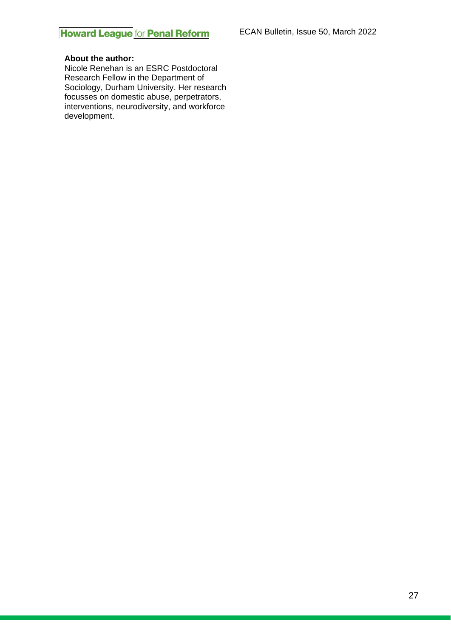#### **About the author:**

Nicole Renehan is an ESRC Postdoctoral Research Fellow in the Department of Sociology, Durham University. Her research focusses on domestic abuse, perpetrators, interventions, neurodiversity, and workforce development.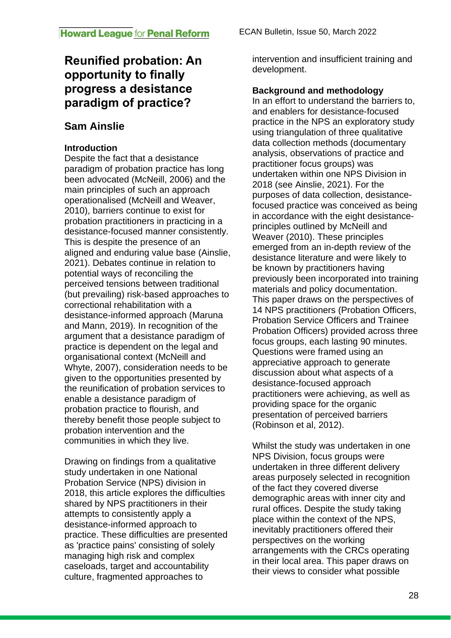# **Reunified probation: An opportunity to finally progress a desistance paradigm of practice?**

# **Sam Ainslie**

# **Introduction**

Despite the fact that a desistance paradigm of probation practice has long been advocated (McNeill, 2006) and the main principles of such an approach operationalised (McNeill and Weaver, 2010), barriers continue to exist for probation practitioners in practicing in a desistance-focused manner consistently. This is despite the presence of an aligned and enduring value base (Ainslie, 2021). Debates continue in relation to potential ways of reconciling the perceived tensions between traditional (but prevailing) risk-based approaches to correctional rehabilitation with a desistance-informed approach (Maruna and Mann, 2019). In recognition of the argument that a desistance paradigm of practice is dependent on the legal and organisational context (McNeill and Whyte, 2007), consideration needs to be given to the opportunities presented by the reunification of probation services to enable a desistance paradigm of probation practice to flourish, and thereby benefit those people subject to probation intervention and the communities in which they live.

Drawing on findings from a qualitative study undertaken in one National Probation Service (NPS) division in 2018, this article explores the difficulties shared by NPS practitioners in their attempts to consistently apply a desistance-informed approach to practice. These difficulties are presented as 'practice pains' consisting of solely managing high risk and complex caseloads, target and accountability culture, fragmented approaches to

intervention and insufficient training and development.

## **Background and methodology**

In an effort to understand the barriers to, and enablers for desistance-focused practice in the NPS an exploratory study using triangulation of three qualitative data collection methods (documentary analysis, observations of practice and practitioner focus groups) was undertaken within one NPS Division in 2018 (see Ainslie, 2021). For the purposes of data collection, desistancefocused practice was conceived as being in accordance with the eight desistanceprinciples outlined by McNeill and Weaver (2010). These principles emerged from an in-depth review of the desistance literature and were likely to be known by practitioners having previously been incorporated into training materials and policy documentation. This paper draws on the perspectives of 14 NPS practitioners (Probation Officers, Probation Service Officers and Trainee Probation Officers) provided across three focus groups, each lasting 90 minutes. Questions were framed using an appreciative approach to generate discussion about what aspects of a desistance-focused approach practitioners were achieving, as well as providing space for the organic presentation of perceived barriers (Robinson et al, 2012).

Whilst the study was undertaken in one NPS Division, focus groups were undertaken in three different delivery areas purposely selected in recognition of the fact they covered diverse demographic areas with inner city and rural offices. Despite the study taking place within the context of the NPS, inevitably practitioners offered their perspectives on the working arrangements with the CRCs operating in their local area. This paper draws on their views to consider what possible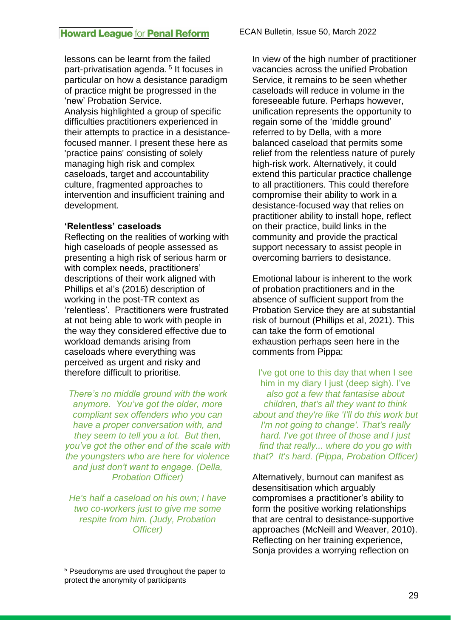lessons can be learnt from the failed part-privatisation agenda.<sup>5</sup> It focuses in particular on how a desistance paradigm of practice might be progressed in the 'new' Probation Service. Analysis highlighted a group of specific difficulties practitioners experienced in their attempts to practice in a desistance-

focused manner. I present these here as 'practice pains' consisting of solely managing high risk and complex caseloads, target and accountability culture, fragmented approaches to intervention and insufficient training and development.

#### **'Relentless' caseloads**

Reflecting on the realities of working with high caseloads of people assessed as presenting a high risk of serious harm or with complex needs, practitioners' descriptions of their work aligned with Phillips et al's (2016) description of working in the post-TR context as 'relentless'. Practitioners were frustrated at not being able to work with people in the way they considered effective due to workload demands arising from caseloads where everything was perceived as urgent and risky and therefore difficult to prioritise.

*There's no middle ground with the work anymore. You've got the older, more compliant sex offenders who you can have a proper conversation with, and they seem to tell you a lot. But then, you've got the other end of the scale with the youngsters who are here for violence and just don't want to engage. (Della, Probation Officer)*

*He's half a caseload on his own; I have two co-workers just to give me some respite from him. (Judy, Probation Officer)*

In view of the high number of practitioner vacancies across the unified Probation Service, it remains to be seen whether caseloads will reduce in volume in the foreseeable future. Perhaps however, unification represents the opportunity to regain some of the 'middle ground' referred to by Della, with a more balanced caseload that permits some relief from the relentless nature of purely high-risk work. Alternatively, it could extend this particular practice challenge to all practitioners. This could therefore compromise their ability to work in a desistance-focused way that relies on practitioner ability to install hope, reflect on their practice, build links in the community and provide the practical support necessary to assist people in overcoming barriers to desistance.

Emotional labour is inherent to the work of probation practitioners and in the absence of sufficient support from the Probation Service they are at substantial risk of burnout (Phillips et al, 2021). This can take the form of emotional exhaustion perhaps seen here in the comments from Pippa:

I've got one to this day that when I see him in my diary I just (deep sigh). I've *also got a few that fantasise about children, that's all they want to think about and they're like 'I'll do this work but I'm not going to change'. That's really hard. I've got three of those and I just find that really... where do you go with that? It's hard. (Pippa, Probation Officer)*

Alternatively, burnout can manifest as desensitisation which arguably compromises a practitioner's ability to form the positive working relationships that are central to desistance-supportive approaches (McNeill and Weaver, 2010). Reflecting on her training experience, Sonja provides a worrying reflection on

<sup>5</sup> Pseudonyms are used throughout the paper to protect the anonymity of participants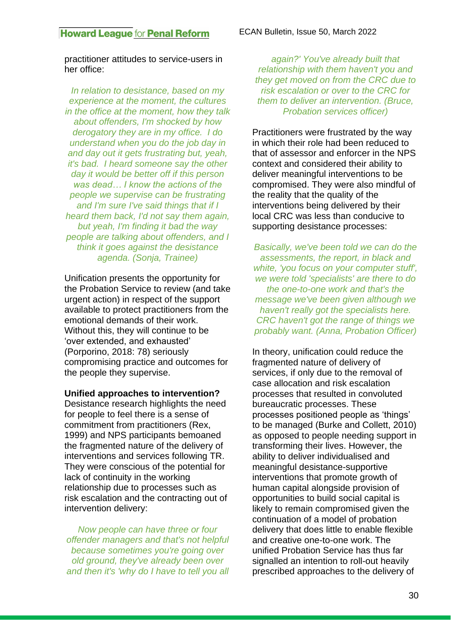practitioner attitudes to service-users in her office:

*In relation to desistance, based on my experience at the moment, the cultures in the office at the moment, how they talk about offenders, I'm shocked by how derogatory they are in my office. I do understand when you do the job day in and day out it gets frustrating but, yeah, it's bad. I heard someone say the other day it would be better off if this person was dead… I know the actions of the people we supervise can be frustrating and I'm sure I've said things that if I heard them back, I'd not say them again, but yeah, I'm finding it bad the way people are talking about offenders, and I think it goes against the desistance agenda. (Sonja, Trainee)*

Unification presents the opportunity for the Probation Service to review (and take urgent action) in respect of the support available to protect practitioners from the emotional demands of their work. Without this, they will continue to be 'over extended, and exhausted' (Porporino, 2018: 78) seriously compromising practice and outcomes for the people they supervise.

**Unified approaches to intervention?**

Desistance research highlights the need for people to feel there is a sense of commitment from practitioners (Rex, 1999) and NPS participants bemoaned the fragmented nature of the delivery of interventions and services following TR. They were conscious of the potential for lack of continuity in the working relationship due to processes such as risk escalation and the contracting out of intervention delivery:

*Now people can have three or four offender managers and that's not helpful because sometimes you're going over old ground, they've already been over and then it's 'why do I have to tell you all* 

*again?' You've already built that relationship with them haven't you and they get moved on from the CRC due to risk escalation or over to the CRC for them to deliver an intervention. (Bruce, Probation services officer)*

Practitioners were frustrated by the way in which their role had been reduced to that of assessor and enforcer in the NPS context and considered their ability to deliver meaningful interventions to be compromised. They were also mindful of the reality that the quality of the interventions being delivered by their local CRC was less than conducive to supporting desistance processes:

*Basically, we've been told we can do the assessments, the report, in black and white, 'you focus on your computer stuff', we were told 'specialists' are there to do the one-to-one work and that's the message we've been given although we haven't really got the specialists here. CRC haven't got the range of things we probably want. (Anna, Probation Officer)*

In theory, unification could reduce the fragmented nature of delivery of services, if only due to the removal of case allocation and risk escalation processes that resulted in convoluted bureaucratic processes. These processes positioned people as 'things' to be managed (Burke and Collett, 2010) as opposed to people needing support in transforming their lives. However, the ability to deliver individualised and meaningful desistance-supportive interventions that promote growth of human capital alongside provision of opportunities to build social capital is likely to remain compromised given the continuation of a model of probation delivery that does little to enable flexible and creative one-to-one work. The unified Probation Service has thus far signalled an intention to roll-out heavily prescribed approaches to the delivery of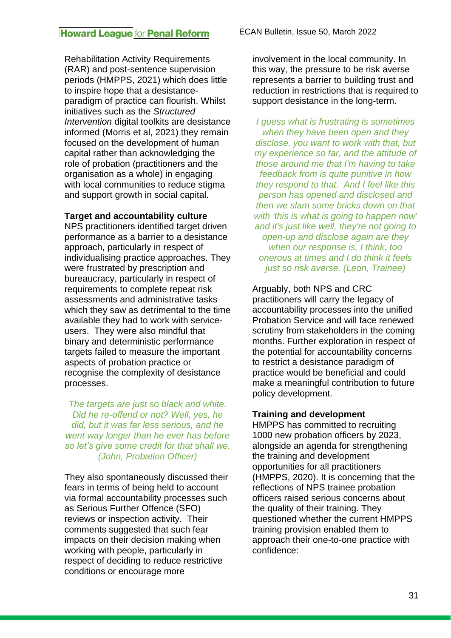Rehabilitation Activity Requirements (RAR) and post-sentence supervision periods (HMPPS, 2021) which does little to inspire hope that a desistanceparadigm of practice can flourish. Whilst initiatives such as the *Structured Intervention* digital toolkits are desistance informed (Morris et al, 2021) they remain focused on the development of human capital rather than acknowledging the role of probation (practitioners and the organisation as a whole) in engaging with local communities to reduce stigma and support growth in social capital.

#### **Target and accountability culture**

NPS practitioners identified target driven performance as a barrier to a desistance approach, particularly in respect of individualising practice approaches. They were frustrated by prescription and bureaucracy, particularly in respect of requirements to complete repeat risk assessments and administrative tasks which they saw as detrimental to the time available they had to work with serviceusers. They were also mindful that binary and deterministic performance targets failed to measure the important aspects of probation practice or recognise the complexity of desistance processes.

*The targets are just so black and white. Did he re-offend or not? Well, yes, he did, but it was far less serious, and he went way longer than he ever has before so let's give some credit for that shall we. (John, Probation Officer)*

They also spontaneously discussed their fears in terms of being held to account via formal accountability processes such as Serious Further Offence (SFO) reviews or inspection activity. Their comments suggested that such fear impacts on their decision making when working with people, particularly in respect of deciding to reduce restrictive conditions or encourage more

involvement in the local community. In this way, the pressure to be risk averse represents a barrier to building trust and reduction in restrictions that is required to support desistance in the long-term.

*I guess what is frustrating is sometimes when they have been open and they disclose, you want to work with that, but my experience so far, and the attitude of those around me that I'm having to take feedback from is quite punitive in how they respond to that. And I feel like this person has opened and disclosed and then we slam some bricks down on that with 'this is what is going to happen now' and it's just like well, they're not going to open-up and disclose again are they when our response is, I think, too onerous at times and I do think it feels just so risk averse. (Leon, Trainee)*

Arguably, both NPS and CRC practitioners will carry the legacy of accountability processes into the unified Probation Service and will face renewed scrutiny from stakeholders in the coming months. Further exploration in respect of the potential for accountability concerns to restrict a desistance paradigm of practice would be beneficial and could make a meaningful contribution to future policy development.

### **Training and development**

HMPPS has committed to recruiting 1000 new probation officers by 2023, alongside an agenda for strengthening the training and development opportunities for all practitioners (HMPPS, 2020). It is concerning that the reflections of NPS trainee probation officers raised serious concerns about the quality of their training. They questioned whether the current HMPPS training provision enabled them to approach their one-to-one practice with confidence: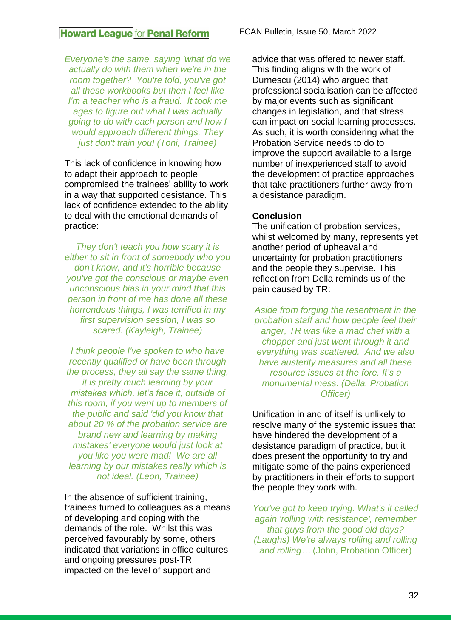*Everyone's the same, saying 'what do we actually do with them when we're in the room together? You're told, you've got all these workbooks but then I feel like I'm a teacher who is a fraud. It took me ages to figure out what I was actually going to do with each person and how I would approach different things. They just don't train you! (Toni, Trainee)*

This lack of confidence in knowing how to adapt their approach to people compromised the trainees' ability to work in a way that supported desistance. This lack of confidence extended to the ability to deal with the emotional demands of practice:

*They don't teach you how scary it is either to sit in front of somebody who you don't know, and it's horrible because you've got the conscious or maybe even unconscious bias in your mind that this person in front of me has done all these horrendous things, I was terrified in my first supervision session, I was so scared. (Kayleigh, Trainee)*

*I think people I've spoken to who have recently qualified or have been through the process, they all say the same thing, it is pretty much learning by your mistakes which, let's face it, outside of this room, if you went up to members of the public and said 'did you know that about 20 % of the probation service are brand new and learning by making mistakes' everyone would just look at you like you were mad! We are all learning by our mistakes really which is not ideal. (Leon, Trainee)*

In the absence of sufficient training, trainees turned to colleagues as a means of developing and coping with the demands of the role. Whilst this was perceived favourably by some, others indicated that variations in office cultures and ongoing pressures post-TR impacted on the level of support and

advice that was offered to newer staff. This finding aligns with the work of Durnescu (2014) who argued that professional socialisation can be affected by major events such as significant changes in legislation, and that stress can impact on social learning processes. As such, it is worth considering what the Probation Service needs to do to improve the support available to a large number of inexperienced staff to avoid the development of practice approaches that take practitioners further away from a desistance paradigm.

#### **Conclusion**

The unification of probation services, whilst welcomed by many, represents yet another period of upheaval and uncertainty for probation practitioners and the people they supervise. This reflection from Della reminds us of the pain caused by TR:

*Aside from forging the resentment in the probation staff and how people feel their anger, TR was like a mad chef with a chopper and just went through it and everything was scattered. And we also have austerity measures and all these resource issues at the fore. It's a monumental mess. (Della, Probation Officer)*

Unification in and of itself is unlikely to resolve many of the systemic issues that have hindered the development of a desistance paradigm of practice, but it does present the opportunity to try and mitigate some of the pains experienced by practitioners in their efforts to support the people they work with.

*You've got to keep trying. What's it called again 'rolling with resistance', remember that guys from the good old days? (Laughs) We're always rolling and rolling and rolling…* (John, Probation Officer)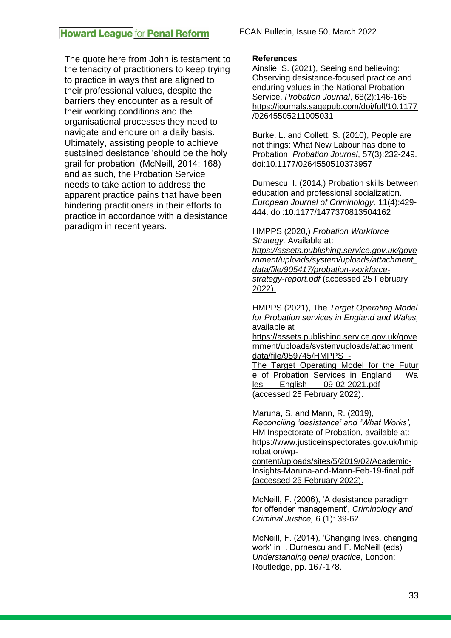The quote here from John is testament to the tenacity of practitioners to keep trying to practice in ways that are aligned to their professional values, despite the barriers they encounter as a result of their working conditions and the organisational processes they need to navigate and endure on a daily basis. Ultimately, assisting people to achieve sustained desistance 'should be the holy grail for probation' (McNeill, 2014: 168) and as such, the Probation Service needs to take action to address the apparent practice pains that have been hindering practitioners in their efforts to practice in accordance with a desistance paradigm in recent years.

#### **References**

Ainslie, S. (2021), Seeing and believing: Observing desistance-focused practice and enduring values in the National Probation Service, *Probation Journal*, 68(2):146-165. [https://journals.sagepub.com/doi/full/10.1177](https://journals.sagepub.com/doi/full/10.1177/02645505211005031) [/02645505211005031](https://journals.sagepub.com/doi/full/10.1177/02645505211005031)

Burke, L. and Collett, S. (2010), People are not things: What New Labour has done to Probation, *Probation Journal*, 57(3):232-249. doi:10.1177/0264550510373957

Durnescu, I. (2014,) Probation skills between education and professional socialization. *European Journal of Criminology,* 11(4):429- 444. doi:10.1177/1477370813504162

HMPPS (2020,) *Probation Workforce Strategy.* Available at: *[https://assets.publishing.service.gov.uk/gove](https://assets.publishing.service.gov.uk/government/uploads/system/uploads/attachment_data/file/905417/probation-workforce-strategy-report.pdf) [rnment/uploads/system/uploads/attachment\\_](https://assets.publishing.service.gov.uk/government/uploads/system/uploads/attachment_data/file/905417/probation-workforce-strategy-report.pdf) [data/file/905417/probation-workforce-](https://assets.publishing.service.gov.uk/government/uploads/system/uploads/attachment_data/file/905417/probation-workforce-strategy-report.pdf)*

*[strategy-report.pdf](https://assets.publishing.service.gov.uk/government/uploads/system/uploads/attachment_data/file/905417/probation-workforce-strategy-report.pdf)* (accessed 25 February 2022).

HMPPS (2021), The *Target Operating Model for Probation services in England and Wales,*  available at

[https://assets.publishing.service.gov.uk/gove](https://assets.publishing.service.gov.uk/government/uploads/system/uploads/attachment_data/file/959745/HMPPS_-The_Target_Operating_Model_for_the_Future_of_Probation_Services_in_England___Wales_-__English__-_09-02-2021.pdf) [rnment/uploads/system/uploads/attachment\\_](https://assets.publishing.service.gov.uk/government/uploads/system/uploads/attachment_data/file/959745/HMPPS_-The_Target_Operating_Model_for_the_Future_of_Probation_Services_in_England___Wales_-__English__-_09-02-2021.pdf) [data/file/959745/HMPPS\\_-](https://assets.publishing.service.gov.uk/government/uploads/system/uploads/attachment_data/file/959745/HMPPS_-The_Target_Operating_Model_for_the_Future_of_Probation_Services_in_England___Wales_-__English__-_09-02-2021.pdf)

The Target Operating Model for the Futur [e\\_of\\_Probation\\_Services\\_in\\_England\\_\\_\\_Wa](https://assets.publishing.service.gov.uk/government/uploads/system/uploads/attachment_data/file/959745/HMPPS_-The_Target_Operating_Model_for_the_Future_of_Probation_Services_in_England___Wales_-__English__-_09-02-2021.pdf) [les\\_-\\_\\_English\\_\\_-\\_09-02-2021.pdf](https://assets.publishing.service.gov.uk/government/uploads/system/uploads/attachment_data/file/959745/HMPPS_-The_Target_Operating_Model_for_the_Future_of_Probation_Services_in_England___Wales_-__English__-_09-02-2021.pdf) (accessed 25 February 2022).

Maruna, S. and Mann, R. (2019), *Reconciling 'desistance' and 'What Works',*  HM Inspectorate of Probation, available at: [https://www.justiceinspectorates.gov.uk/hmip](https://www.justiceinspectorates.gov.uk/hmiprobation/wp-content/uploads/sites/5/2019/02/Academic-Insights-Maruna-and-Mann-Feb-19-final.pdf) [robation/wp-](https://www.justiceinspectorates.gov.uk/hmiprobation/wp-content/uploads/sites/5/2019/02/Academic-Insights-Maruna-and-Mann-Feb-19-final.pdf)

[content/uploads/sites/5/2019/02/Academic-](https://www.justiceinspectorates.gov.uk/hmiprobation/wp-content/uploads/sites/5/2019/02/Academic-Insights-Maruna-and-Mann-Feb-19-final.pdf)[Insights-Maruna-and-Mann-Feb-19-final.pdf](https://www.justiceinspectorates.gov.uk/hmiprobation/wp-content/uploads/sites/5/2019/02/Academic-Insights-Maruna-and-Mann-Feb-19-final.pdf) (accessed 25 February 2022).

McNeill, F. (2006), 'A desistance paradigm for offender management', *Criminology and Criminal Justice,* 6 (1): 39-62.

McNeill, F. (2014), 'Changing lives, changing work' in I. Durnescu and F. McNeill (eds) *Understanding penal practice,* London: Routledge, pp. 167-178.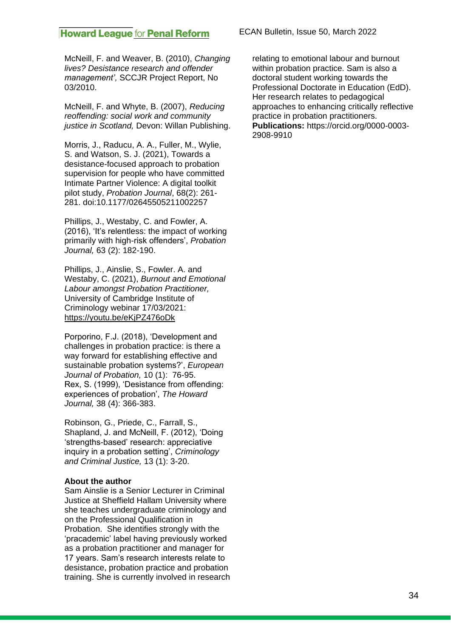McNeill, F. and Weaver, B. (2010), *Changing lives? Desistance research and offender management',* SCCJR Project Report, No 03/2010.

McNeill, F. and Whyte, B. (2007), *Reducing reoffending: social work and community justice in Scotland,* Devon: Willan Publishing.

Morris, J., Raducu, A. A., Fuller, M., Wylie, S. and Watson, S. J. (2021), Towards a desistance-focused approach to probation supervision for people who have committed Intimate Partner Violence: A digital toolkit pilot study, *Probation Journal*, 68(2): 261- 281. doi:10.1177/02645505211002257

Phillips, J., Westaby, C. and Fowler, A. (2016), 'It's relentless: the impact of working primarily with high-risk offenders', *Probation Journal,* 63 (2): 182-190.

Phillips, J., Ainslie, S., Fowler. A. and Westaby, C. (2021), *Burnout and Emotional Labour amongst Probation Practitioner,*  University of Cambridge Institute of Criminology webinar 17/03/2021: <https://youtu.be/eKjPZ476oDk>

Porporino, F.J. (2018), 'Development and challenges in probation practice: is there a way forward for establishing effective and sustainable probation systems?', *European Journal of Probation,* 10 (1): 76-95. Rex, S. (1999), 'Desistance from offending: experiences of probation', *The Howard Journal,* 38 (4): 366-383.

Robinson, G., Priede, C., Farrall, S., Shapland, J. and McNeill, F. (2012), 'Doing 'strengths-based' research: appreciative inquiry in a probation setting', *Criminology and Criminal Justice,* 13 (1): 3-20.

#### **About the author**

Sam Ainslie is a Senior Lecturer in Criminal Justice at Sheffield Hallam University where she teaches undergraduate criminology and on the Professional Qualification in Probation. She identifies strongly with the 'pracademic' label having previously worked as a probation practitioner and manager for 17 years. Sam's research interests relate to desistance, probation practice and probation training. She is currently involved in research relating to emotional labour and burnout within probation practice. Sam is also a doctoral student working towards the Professional Doctorate in Education (EdD). Her research relates to pedagogical approaches to enhancing critically reflective practice in probation practitioners. **Publications:** https://orcid.org/0000-0003- 2908-9910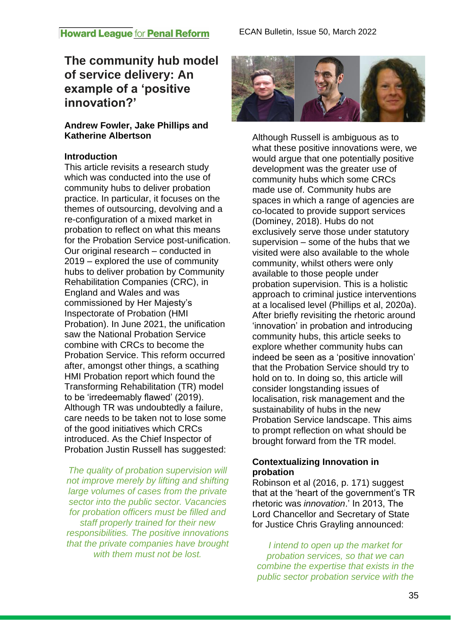# **The community hub model of service delivery: An example of a 'positive innovation?'**

# **Andrew Fowler, Jake Phillips and Katherine Albertson**

## **Introduction**

This article revisits a research study which was conducted into the use of community hubs to deliver probation practice. In particular, it focuses on the themes of outsourcing, devolving and a re-configuration of a mixed market in probation to reflect on what this means for the Probation Service post-unification. Our original research – conducted in 2019 – explored the use of community hubs to deliver probation by Community Rehabilitation Companies (CRC), in England and Wales and was commissioned by Her Majesty's Inspectorate of Probation (HMI Probation). In June 2021, the unification saw the National Probation Service combine with CRCs to become the Probation Service. This reform occurred after, amongst other things, a scathing HMI Probation report which found the Transforming Rehabilitation (TR) model to be 'irredeemably flawed' (2019). Although TR was undoubtedly a failure, care needs to be taken not to lose some of the good initiatives which CRCs introduced. As the Chief Inspector of Probation Justin Russell has suggested:

*The quality of probation supervision will not improve merely by lifting and shifting large volumes of cases from the private sector into the public sector. Vacancies for probation officers must be filled and staff properly trained for their new responsibilities. The positive innovations that the private companies have brought with them must not be lost.*



Although Russell is ambiguous as to what these positive innovations were, we would argue that one potentially positive development was the greater use of community hubs which some CRCs made use of. Community hubs are spaces in which a range of agencies are co-located to provide support services (Dominey, 2018). Hubs do not exclusively serve those under statutory supervision – some of the hubs that we visited were also available to the whole community, whilst others were only available to those people under probation supervision. This is a holistic approach to criminal justice interventions at a localised level (Phillips et al, 2020a). After briefly revisiting the rhetoric around 'innovation' in probation and introducing community hubs, this article seeks to explore whether community hubs can indeed be seen as a 'positive innovation' that the Probation Service should try to hold on to. In doing so, this article will consider longstanding issues of localisation, risk management and the sustainability of hubs in the new Probation Service landscape. This aims to prompt reflection on what should be brought forward from the TR model.

# **Contextualizing Innovation in probation**

Robinson et al (2016, p. 171) suggest that at the 'heart of the government's TR rhetoric was *innovation*.' In 2013, The Lord Chancellor and Secretary of State for Justice Chris Grayling announced:

*I intend to open up the market for probation services, so that we can combine the expertise that exists in the public sector probation service with the*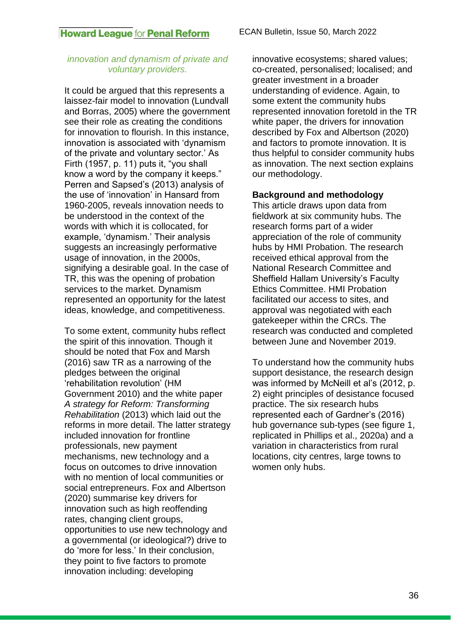#### *innovation and dynamism of private and voluntary providers.*

It could be argued that this represents a laissez-fair model to innovation (Lundvall and Borras, 2005) where the government see their role as creating the conditions for innovation to flourish. In this instance, innovation is associated with 'dynamism of the private and voluntary sector.' As Firth (1957, p. 11) puts it, "you shall know a word by the company it keeps." Perren and Sapsed's (2013) analysis of the use of 'innovation' in Hansard from 1960-2005, reveals innovation needs to be understood in the context of the words with which it is collocated, for example, 'dynamism.' Their analysis suggests an increasingly performative usage of innovation, in the 2000s, signifying a desirable goal. In the case of TR, this was the opening of probation services to the market. Dynamism represented an opportunity for the latest ideas, knowledge, and competitiveness.

To some extent, community hubs reflect the spirit of this innovation. Though it should be noted that Fox and Marsh (2016) saw TR as a narrowing of the pledges between the original 'rehabilitation revolution' (HM Government 2010) and the white paper *A strategy for Reform: Transforming Rehabilitation* (2013) which laid out the reforms in more detail. The latter strategy included innovation for frontline professionals, new payment mechanisms, new technology and a focus on outcomes to drive innovation with no mention of local communities or social entrepreneurs. Fox and Albertson (2020) summarise key drivers for innovation such as high reoffending rates, changing client groups, opportunities to use new technology and a governmental (or ideological?) drive to do 'more for less.' In their conclusion, they point to five factors to promote innovation including: developing

innovative ecosystems; shared values; co-created, personalised; localised; and greater investment in a broader understanding of evidence. Again, to some extent the community hubs represented innovation foretold in the TR white paper, the drivers for innovation described by Fox and Albertson (2020) and factors to promote innovation. It is thus helpful to consider community hubs as innovation. The next section explains our methodology.

### **Background and methodology**

This article draws upon data from fieldwork at six community hubs. The research forms part of a wider appreciation of the role of community hubs by HMI Probation. The research received ethical approval from the National Research Committee and Sheffield Hallam University's Faculty Ethics Committee. HMI Probation facilitated our access to sites, and approval was negotiated with each gatekeeper within the CRCs. The research was conducted and completed between June and November 2019.

To understand how the community hubs support desistance, the research design was informed by McNeill et al's (2012, p. 2) eight principles of desistance focused practice. The six research hubs represented each of Gardner's (2016) hub governance sub-types (see figure 1, replicated in Phillips et al., 2020a) and a variation in characteristics from rural locations, city centres, large towns to women only hubs.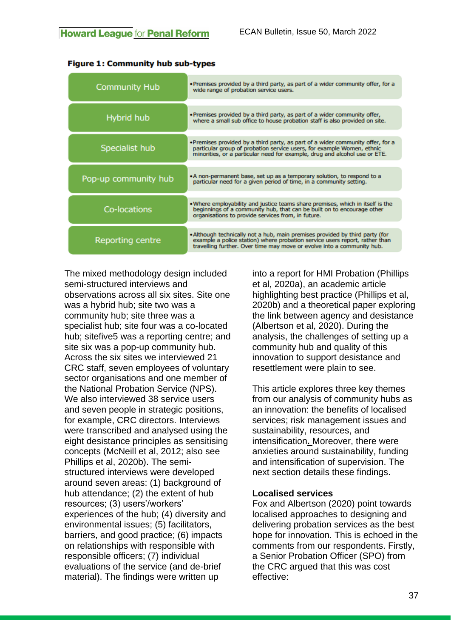| <b>Community Hub</b> | . Premises provided by a third party, as part of a wider community offer, for a<br>wide range of probation service users.                                                                                                               |
|----------------------|-----------------------------------------------------------------------------------------------------------------------------------------------------------------------------------------------------------------------------------------|
| Hybrid hub           | . Premises provided by a third party, as part of a wider community offer,<br>where a small sub office to house probation staff is also provided on site.                                                                                |
| Specialist hub       | . Premises provided by a third party, as part of a wider community offer, for a<br>particular group of probation service users, for example Women, ethnic<br>minorities, or a particular need for example, drug and alcohol use or ETE. |
| Pop-up community hub | . A non-permanent base, set up as a temporary solution, to respond to a<br>particular need for a given period of time, in a community setting.                                                                                          |
| Co-locations         | . Where employability and justice teams share premises, which in itself is the<br>beginnings of a community hub, that can be built on to encourage other<br>organisations to provide services from, in future.                          |
| Reporting centre     | . Although technically not a hub, main premises provided by third party (for<br>example a police station) where probation service users report, rather than<br>travelling further. Over time may move or evolve into a community hub.   |

#### **Figure 1: Community hub sub-types**

The mixed methodology design included semi-structured interviews and observations across all six sites. Site one was a hybrid hub; site two was a community hub; site three was a specialist hub; site four was a co-located hub; sitefive5 was a reporting centre; and site six was a pop-up community hub. Across the six sites we interviewed 21 CRC staff, seven employees of voluntary sector organisations and one member of the National Probation Service (NPS). We also interviewed 38 service users and seven people in strategic positions, for example, CRC directors. Interviews were transcribed and analysed using the eight desistance principles as sensitising concepts (McNeill et al, 2012; also see Phillips et al, 2020b). The semistructured interviews were developed around seven areas: (1) background of hub attendance; (2) the extent of hub resources; (3) users'/workers' experiences of the hub; (4) diversity and environmental issues; (5) facilitators, barriers, and good practice; (6) impacts on relationships with responsible with responsible officers; (7) individual evaluations of the service (and de-brief material). The findings were written up

into a report for HMI Probation (Phillips et al, 2020a), an academic article highlighting best practice (Phillips et al, 2020b) and a theoretical paper exploring the link between agency and desistance (Albertson et al, 2020). During the analysis, the challenges of setting up a community hub and quality of this innovation to support desistance and resettlement were plain to see.

This article explores three key themes from our analysis of community hubs as an innovation: the benefits of localised services; risk management issues and sustainability, resources, and intensification**.** Moreover, there were anxieties around sustainability, funding and intensification of supervision. The next section details these findings.

#### **Localised services**

Fox and Albertson (2020) point towards localised approaches to designing and delivering probation services as the best hope for innovation. This is echoed in the comments from our respondents. Firstly, a Senior Probation Officer (SPO) from the CRC argued that this was cost effective: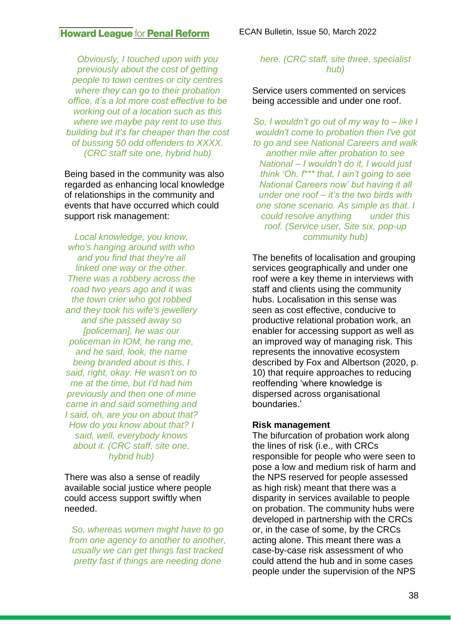*Obviously, I touched upon with you previously about the cost of getting people to town centres or city centres where they can go to their probation office, it's a lot more cost effective to be working out of a location such as this where we maybe pay rent to use this building but it's far cheaper than the cost of bussing 50 odd offenders to XXXX. (CRC staff site one, hybrid hub)*

Being based in the community was also regarded as enhancing local knowledge of relationships in the community and events that have occurred which could support risk management:

*Local knowledge, you know, who's hanging around with who and you find that they're all linked one way or the other. There was a robbery across the road two years ago and it was the town crier who got robbed and they took his wife's jewellery and she passed away so [policeman], he was our policeman in IOM, he rang me, and he said, look, the name being branded about is this, I said, right, okay. He wasn't on to me at the time, but I'd had him previously and then one of mine came in and said something and I said, oh, are you on about that? How do you know about that? I said, well, everybody knows about it. (CRC staff, site one, hybrid hub)*

There was also a sense of readily available social justice where people could access support swiftly when needed.

*So, whereas women might have to go from one agency to another to another, usually we can get things fast tracked pretty fast if things are needing done* 

#### *here. (CRC staff, site three, specialist hub)*

#### Service users commented on services being accessible and under one roof.

*So, I wouldn't go out of my way to – like I wouldn't come to probation then I've got to go and see National Careers and walk another mile after probation to see National – I wouldn't do it, I would just think 'Oh, f\*\*\* that, I ain't going to see National Careers now' but having it all under one roof – it's the two birds with one stone scenario. As simple as that. I could resolve anything under this roof. (Service user, Site six, pop-up community hub)*

The benefits of localisation and grouping services geographically and under one roof were a key theme in interviews with staff and clients using the community hubs. Localisation in this sense was seen as cost effective, conducive to productive relational probation work, an enabler for accessing support as well as an improved way of managing risk. This represents the innovative ecosystem described by Fox and Albertson (2020, p. 10) that require approaches to reducing reoffending 'where knowledge is dispersed across organisational boundaries.'

#### **Risk management**

The bifurcation of probation work along the lines of risk (i.e., with CRCs responsible for people who were seen to pose a low and medium risk of harm and the NPS reserved for people assessed as high risk) meant that there was a disparity in services available to people on probation. The community hubs were developed in partnership with the CRCs or, in the case of some, by the CRCs acting alone. This meant there was a case-by-case risk assessment of who could attend the hub and in some cases people under the supervision of the NPS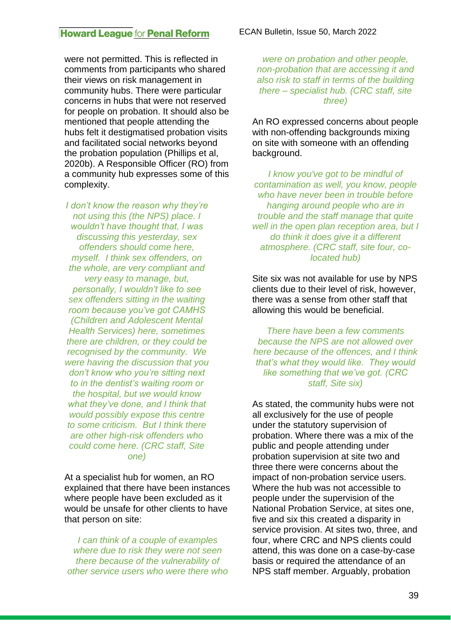were not permitted. This is reflected in comments from participants who shared their views on risk management in community hubs. There were particular concerns in hubs that were not reserved for people on probation. It should also be mentioned that people attending the hubs felt it destigmatised probation visits and facilitated social networks beyond the probation population (Phillips et al, 2020b). A Responsible Officer (RO) from a community hub expresses some of this complexity.

*I don't know the reason why they're not using this (the NPS) place. I wouldn't have thought that, I was discussing this yesterday, sex offenders should come here, myself. I think sex offenders, on the whole, are very compliant and very easy to manage, but, personally, I wouldn't like to see sex offenders sitting in the waiting room because you've got CAMHS (Children and Adolescent Mental Health Services) here, sometimes there are children, or they could be recognised by the community. We were having the discussion that you don't know who you're sitting next to in the dentist's waiting room or the hospital, but we would know what they've done, and I think that would possibly expose this centre to some criticism. But I think there are other high-risk offenders who could come here. (CRC staff, Site one)*

At a specialist hub for women, an RO explained that there have been instances where people have been excluded as it would be unsafe for other clients to have that person on site:

*I can think of a couple of examples where due to risk they were not seen there because of the vulnerability of other service users who were there who* 

*were on probation and other people, non-probation that are accessing it and also risk to staff in terms of the building there – specialist hub. (CRC staff, site three)*

An RO expressed concerns about people with non-offending backgrounds mixing on site with someone with an offending background.

*I know you've got to be mindful of contamination as well, you know, people who have never been in trouble before hanging around people who are in trouble and the staff manage that quite well in the open plan reception area, but I do think it does give it a different atmosphere. (CRC staff, site four, colocated hub)*

Site six was not available for use by NPS clients due to their level of risk, however, there was a sense from other staff that allowing this would be beneficial.

*There have been a few comments because the NPS are not allowed over here because of the offences, and I think that's what they would like. They would like something that we've got. (CRC staff, Site six)*

As stated, the community hubs were not all exclusively for the use of people under the statutory supervision of probation. Where there was a mix of the public and people attending under probation supervision at site two and three there were concerns about the impact of non-probation service users. Where the hub was not accessible to people under the supervision of the National Probation Service, at sites one, five and six this created a disparity in service provision. At sites two, three, and four, where CRC and NPS clients could attend, this was done on a case-by-case basis or required the attendance of an NPS staff member. Arguably, probation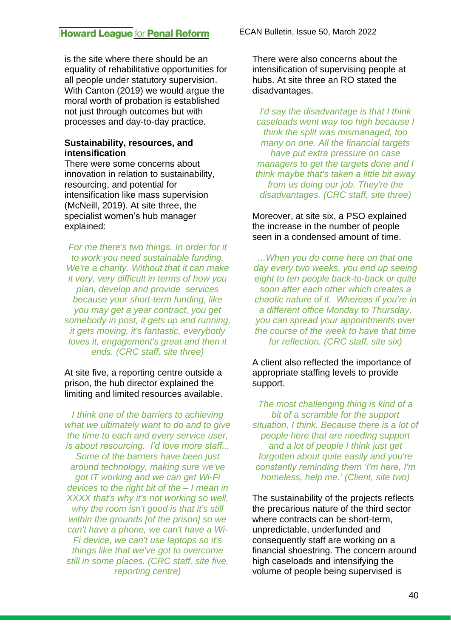is the site where there should be an equality of rehabilitative opportunities for all people under statutory supervision. With Canton (2019) we would argue the moral worth of probation is established not just through outcomes but with processes and day-to-day practice.

#### **Sustainability, resources, and intensification**

There were some concerns about innovation in relation to sustainability, resourcing, and potential for intensification like mass supervision (McNeill, 2019). At site three, the specialist women's hub manager explained:

*For me there's two things. In order for it to work you need sustainable funding. We're a charity. Without that it can make it very, very difficult in terms of how you plan, develop and provide services because your short-term funding, like you may get a year contract, you get somebody in post, it gets up and running, it gets moving, it's fantastic, everybody loves it, engagement's great and then it ends. (CRC staff, site three)*

At site five, a reporting centre outside a prison, the hub director explained the limiting and limited resources available.

*I think one of the barriers to achieving what we ultimately want to do and to give the time to each and every service user, is about resourcing. I'd love more staff... Some of the barriers have been just around technology, making sure we've got IT working and we can get Wi-Fi devices to the right bit of the – I mean in XXXX that's why it's not working so well, why the room isn't good is that it's still within the grounds [of the prison] so we can't have a phone, we can't have a Wi-Fi device, we can't use laptops so it's things like that we've got to overcome still in some places. (CRC staff, site five, reporting centre)*

There were also concerns about the intensification of supervising people at hubs. At site three an RO stated the disadvantages.

*I'd say the disadvantage is that I think caseloads went way too high because I think the split was mismanaged, too many on one. All the financial targets have put extra pressure on case managers to get the targets done and I think maybe that's taken a little bit away from us doing our job. They're the disadvantages. (CRC staff, site three)*

Moreover, at site six, a PSO explained the increase in the number of people seen in a condensed amount of time.

*...When you do come here on that one day every two weeks, you end up seeing eight to ten people back-to-back or quite soon after each other which creates a chaotic nature of it. Whereas if you're in a different office Monday to Thursday, you can spread your appointments over the course of the week to have that time for reflection. (CRC staff, site six)*

A client also reflected the importance of appropriate staffing levels to provide support.

*The most challenging thing is kind of a bit of a scramble for the support situation, I think. Because there is a lot of people here that are needing support and a lot of people I think just get forgotten about quite easily and you're constantly reminding them 'I'm here, I'm homeless, help me.' (Client, site two)*

The sustainability of the projects reflects the precarious nature of the third sector where contracts can be short-term, unpredictable, underfunded and consequently staff are working on a financial shoestring. The concern around high caseloads and intensifying the volume of people being supervised is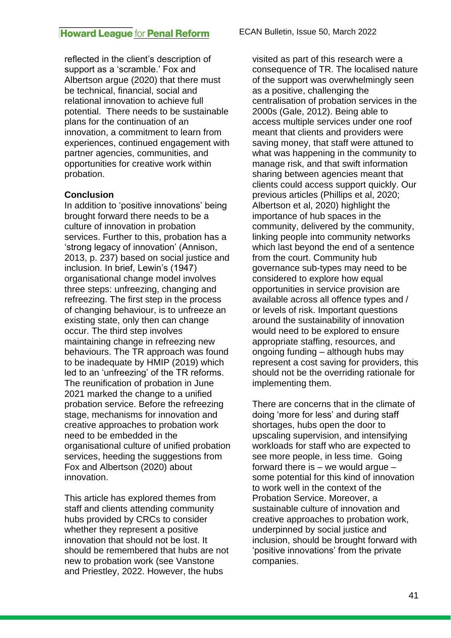reflected in the client's description of support as a 'scramble.' Fox and Albertson argue (2020) that there must be technical, financial, social and relational innovation to achieve full potential. There needs to be sustainable plans for the continuation of an innovation, a commitment to learn from experiences, continued engagement with partner agencies, communities, and opportunities for creative work within probation.

### **Conclusion**

In addition to 'positive innovations' being brought forward there needs to be a culture of innovation in probation services. Further to this, probation has a 'strong legacy of innovation' (Annison, 2013, p. 237) based on social justice and inclusion. In brief, Lewin's (1947) organisational change model involves three steps: unfreezing, changing and refreezing. The first step in the process of changing behaviour, is to unfreeze an existing state, only then can change occur. The third step involves maintaining change in refreezing new behaviours. The TR approach was found to be inadequate by HMIP (2019) which led to an 'unfreezing' of the TR reforms. The reunification of probation in June 2021 marked the change to a unified probation service. Before the refreezing stage, mechanisms for innovation and creative approaches to probation work need to be embedded in the organisational culture of unified probation services, heeding the suggestions from Fox and Albertson (2020) about innovation.

This article has explored themes from staff and clients attending community hubs provided by CRCs to consider whether they represent a positive innovation that should not be lost. It should be remembered that hubs are not new to probation work (see Vanstone and Priestley, 2022. However, the hubs

visited as part of this research were a consequence of TR. The localised nature of the support was overwhelmingly seen as a positive, challenging the centralisation of probation services in the 2000s (Gale, 2012). Being able to access multiple services under one roof meant that clients and providers were saving money, that staff were attuned to what was happening in the community to manage risk, and that swift information sharing between agencies meant that clients could access support quickly. Our previous articles (Phillips et al, 2020; Albertson et al, 2020) highlight the importance of hub spaces in the community, delivered by the community, linking people into community networks which last beyond the end of a sentence from the court. Community hub governance sub-types may need to be considered to explore how equal opportunities in service provision are available across all offence types and / or levels of risk. Important questions around the sustainability of innovation would need to be explored to ensure appropriate staffing, resources, and ongoing funding – although hubs may represent a cost saving for providers, this should not be the overriding rationale for implementing them.

There are concerns that in the climate of doing 'more for less' and during staff shortages, hubs open the door to upscaling supervision, and intensifying workloads for staff who are expected to see more people, in less time. Going forward there is  $-$  we would argue  $$ some potential for this kind of innovation to work well in the context of the Probation Service. Moreover, a sustainable culture of innovation and creative approaches to probation work, underpinned by social justice and inclusion, should be brought forward with 'positive innovations' from the private companies.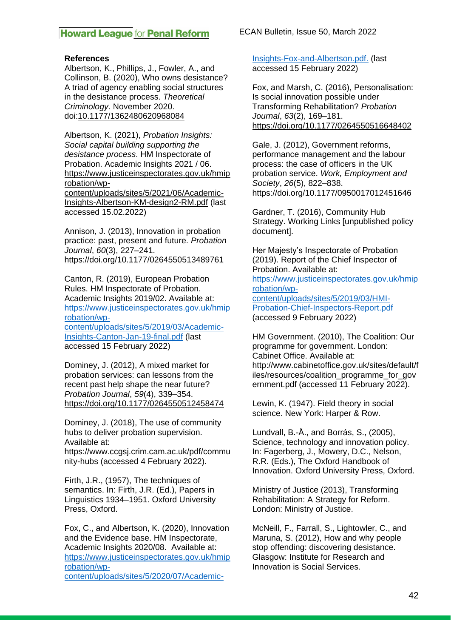ECAN Bulletin, Issue 50, March 2022

#### **References**

Albertson, K., Phillips, J., Fowler, A., and Collinson, B. (2020), Who owns desistance? A triad of agency enabling social structures in the desistance process. *Theoretical Criminology*. November 2020. doi[:10.1177/1362480620968084](https://doi.org/10.1177/1362480620968084)

Albertson, K. (2021), *Probation Insights: Social capital building supporting the desistance process*. HM Inspectorate of Probation. Academic Insights 2021 / 06. [https://www.justiceinspectorates.gov.uk/hmip](https://www.justiceinspectorates.gov.uk/hmiprobation/wp-content/uploads/sites/5/2021/06/Academic-Insights-Albertson-KM-design2-RM.pdf) [robation/wp](https://www.justiceinspectorates.gov.uk/hmiprobation/wp-content/uploads/sites/5/2021/06/Academic-Insights-Albertson-KM-design2-RM.pdf)[content/uploads/sites/5/2021/06/Academic-](https://www.justiceinspectorates.gov.uk/hmiprobation/wp-content/uploads/sites/5/2021/06/Academic-Insights-Albertson-KM-design2-RM.pdf)[Insights-Albertson-KM-design2-RM.pdf](https://www.justiceinspectorates.gov.uk/hmiprobation/wp-content/uploads/sites/5/2021/06/Academic-Insights-Albertson-KM-design2-RM.pdf) (last accessed 15.02.2022)

Annison, J. (2013), Innovation in probation practice: past, present and future. *Probation Journal*, *60*(3), 227–241. <https://doi.org/10.1177/0264550513489761>

Canton, R. (2019), European Probation Rules. HM Inspectorate of Probation. Academic Insights 2019/02. Available at: [https://www.justiceinspectorates.gov.uk/hmip](https://www.justiceinspectorates.gov.uk/hmiprobation/wp-content/uploads/sites/5/2019/03/Academic-Insights-Canton-Jan-19-final.pdf) [robation/wp](https://www.justiceinspectorates.gov.uk/hmiprobation/wp-content/uploads/sites/5/2019/03/Academic-Insights-Canton-Jan-19-final.pdf)[content/uploads/sites/5/2019/03/Academic-](https://www.justiceinspectorates.gov.uk/hmiprobation/wp-content/uploads/sites/5/2019/03/Academic-Insights-Canton-Jan-19-final.pdf)

[Insights-Canton-Jan-19-final.pdf](https://www.justiceinspectorates.gov.uk/hmiprobation/wp-content/uploads/sites/5/2019/03/Academic-Insights-Canton-Jan-19-final.pdf) (last accessed 15 February 2022)

Dominey, J. (2012), A mixed market for probation services: can lessons from the recent past help shape the near future? *Probation Journal*, *59*(4), 339–354. <https://doi.org/10.1177/0264550512458474>

Dominey, J. (2018), The use of community hubs to deliver probation supervision. Available at:

https://www.ccgsj.crim.cam.ac.uk/pdf/commu nity-hubs (accessed 4 February 2022).

Firth, J.R., (1957), The techniques of semantics. In: Firth, J.R. (Ed.), Papers in Linguistics 1934–1951. Oxford University Press, Oxford.

Fox, C., and Albertson, K. (2020), Innovation and the Evidence base. HM Inspectorate, Academic Insights 2020/08. Available at: [https://www.justiceinspectorates.gov.uk/hmip](https://www.justiceinspectorates.gov.uk/hmiprobation/wp-content/uploads/sites/5/2020/07/Academic-Insights-Fox-and-Albertson.pdf.) [robation/wp](https://www.justiceinspectorates.gov.uk/hmiprobation/wp-content/uploads/sites/5/2020/07/Academic-Insights-Fox-and-Albertson.pdf.)[content/uploads/sites/5/2020/07/Academic-](https://www.justiceinspectorates.gov.uk/hmiprobation/wp-content/uploads/sites/5/2020/07/Academic-Insights-Fox-and-Albertson.pdf.) [Insights-Fox-and-Albertson.pdf.](https://www.justiceinspectorates.gov.uk/hmiprobation/wp-content/uploads/sites/5/2020/07/Academic-Insights-Fox-and-Albertson.pdf.) (last accessed 15 February 2022)

Fox, and Marsh, C. (2016), Personalisation: Is social innovation possible under Transforming Rehabilitation? *Probation Journal*, *63*(2), 169–181. <https://doi.org/10.1177/0264550516648402>

Gale, J. (2012), Government reforms, performance management and the labour process: the case of officers in the UK probation service. *Work, Employment and Society*, *26*(5), 822–838. https://doi.org/10.1177/0950017012451646

Gardner, T. (2016), Community Hub Strategy. Working Links [unpublished policy document].

Her Majesty's Inspectorate of Probation (2019). Report of the Chief Inspector of Probation. Available at: [https://www.justiceinspectorates.gov.uk/hmip](https://www.justiceinspectorates.gov.uk/hmiprobation/wp-content/uploads/sites/5/2019/03/HMI-Probation-Chief-Inspectors-Report.pdf) [robation/wp](https://www.justiceinspectorates.gov.uk/hmiprobation/wp-content/uploads/sites/5/2019/03/HMI-Probation-Chief-Inspectors-Report.pdf)[content/uploads/sites/5/2019/03/HMI-](https://www.justiceinspectorates.gov.uk/hmiprobation/wp-content/uploads/sites/5/2019/03/HMI-Probation-Chief-Inspectors-Report.pdf)[Probation-Chief-Inspectors-Report.pdf](https://www.justiceinspectorates.gov.uk/hmiprobation/wp-content/uploads/sites/5/2019/03/HMI-Probation-Chief-Inspectors-Report.pdf) (accessed 9 February 2022)

HM Government. (2010), The Coalition: Our programme for government. London: Cabinet Office. Available at: http://www.cabinetoffice.gov.uk/sites/default/f iles/resources/coalition\_programme\_for\_gov ernment.pdf (accessed 11 February 2022).

Lewin, K. (1947). Field theory in social science. New York: Harper & Row.

Lundvall, B.-Å., and Borrás, S., (2005), Science, technology and innovation policy. In: Fagerberg, J., Mowery, D.C., Nelson, R.R. (Eds.), The Oxford Handbook of Innovation. Oxford University Press, Oxford.

Ministry of Justice (2013), Transforming Rehabilitation: A Strategy for Reform. London: Ministry of Justice.

McNeill, F., Farrall, S., Lightowler, C., and Maruna, S. (2012), How and why people stop offending: discovering desistance. Glasgow: Institute for Research and Innovation is Social Services.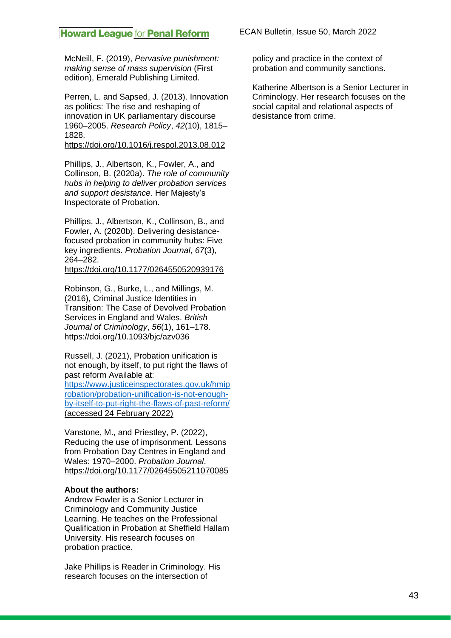McNeill, F. (2019), *Pervasive punishment: making sense of mass supervision* (First edition), Emerald Publishing Limited.

Perren, L. and Sapsed, J. (2013). Innovation as politics: The rise and reshaping of innovation in UK parliamentary discourse 1960–2005. *Research Policy*, *42*(10), 1815– 1828.

<https://doi.org/10.1016/j.respol.2013.08.012>

Phillips, J., Albertson, K., Fowler, A., and Collinson, B. (2020a). *The role of community hubs in helping to deliver probation services and support desistance*. Her Majesty's Inspectorate of Probation.

Phillips, J., Albertson, K., Collinson, B., and Fowler, A. (2020b). Delivering desistancefocused probation in community hubs: Five key ingredients. *Probation Journal*, *67*(3), 264–282.

<https://doi.org/10.1177/0264550520939176>

Robinson, G., Burke, L., and Millings, M. (2016), Criminal Justice Identities in Transition: The Case of Devolved Probation Services in England and Wales. *British Journal of Criminology*, *56*(1), 161–178. https://doi.org/10.1093/bjc/azv036

Russell, J. (2021), Probation unification is not enough, by itself, to put right the flaws of past reform Available at: [https://www.justiceinspectorates.gov.uk/hmip](https://www.justiceinspectorates.gov.uk/hmiprobation/probation-unification-is-not-enough-by-itself-to-put-right-the-flaws-of-past-reform/)

[robation/probation-unification-is-not-enough](https://www.justiceinspectorates.gov.uk/hmiprobation/probation-unification-is-not-enough-by-itself-to-put-right-the-flaws-of-past-reform/)[by-itself-to-put-right-the-flaws-of-past-reform/](https://www.justiceinspectorates.gov.uk/hmiprobation/probation-unification-is-not-enough-by-itself-to-put-right-the-flaws-of-past-reform/) (accessed 24 February 2022)

Vanstone, M., and Priestley, P. (2022), Reducing the use of imprisonment. Lessons from Probation Day Centres in England and Wales: 1970–2000. *Probation Journal*. <https://doi.org/10.1177/02645505211070085>

#### **About the authors:**

Andrew Fowler is a Senior Lecturer in Criminology and Community Justice Learning. He teaches on the Professional Qualification in Probation at Sheffield Hallam University. His research focuses on probation practice.

Jake Phillips is Reader in Criminology. His research focuses on the intersection of

ECAN Bulletin, Issue 50, March 2022

policy and practice in the context of probation and community sanctions.

Katherine Albertson is a Senior Lecturer in Criminology. Her research focuses on the social capital and relational aspects of desistance from crime.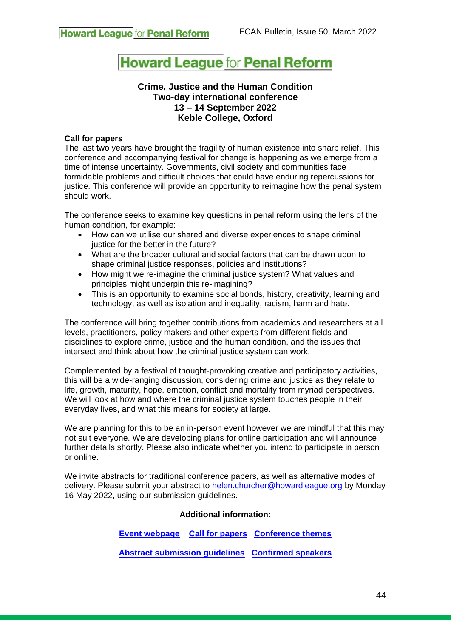#### **Crime, Justice and the Human Condition Two-day international conference 13 – 14 September 2022 Keble College, Oxford**

#### **Call for papers**

The last two years have brought the fragility of human existence into sharp relief. This conference and accompanying festival for change is happening as we emerge from a time of intense uncertainty. Governments, civil society and communities face formidable problems and difficult choices that could have enduring repercussions for justice. This conference will provide an opportunity to reimagine how the penal system should work.

The conference seeks to examine key questions in penal reform using the lens of the human condition, for example:

- How can we utilise our shared and diverse experiences to shape criminal justice for the better in the future?
- What are the broader cultural and social factors that can be drawn upon to shape criminal justice responses, policies and institutions?
- How might we re-imagine the criminal justice system? What values and principles might underpin this re-imagining?
- This is an opportunity to examine social bonds, history, creativity, learning and technology, as well as isolation and inequality, racism, harm and hate.

The conference will bring together contributions from academics and researchers at all levels, practitioners, policy makers and other experts from different fields and disciplines to explore crime, justice and the human condition, and the issues that intersect and think about how the criminal justice system can work.

Complemented by a festival of thought-provoking creative and participatory activities, this will be a wide-ranging discussion, considering crime and justice as they relate to life, growth, maturity, hope, emotion, conflict and mortality from myriad perspectives. We will look at how and where the criminal justice system touches people in their everyday lives, and what this means for society at large.

We are planning for this to be an in-person event however we are mindful that this may not suit everyone. We are developing plans for online participation and will announce further details shortly. Please also indicate whether you intend to participate in person or online.

We invite abstracts for traditional conference papers, as well as alternative modes of delivery. Please submit your abstract to [helen.churcher@howardleague.org](mailto:helen.churcher@howardleague.org) by Monday 16 May 2022, using our submission guidelines.

#### **Additional information:**

**[Event webpage](https://howardleague.org/events/crime-justice-and-the-human-condition/) [Call for papers](https://howardleague.org/crime-justice-and-the-human-condition-call-for-papers/) [Conference themes](https://howardleague.org/crime-justice-and-the-human-condition-call-for-papers/crime-justice-and-the-human-condition-conference-themes/)**

**[Abstract submission guidelines](https://howardleague.org/crime-justice-and-the-human-condition-call-for-papers/crime-justice-and-the-human-condition-abstract-guidelines-and-submission/) [Confirmed speakers](https://howardleague.org/crime-justice-and-the-human-condition-call-for-papers/crime-justice-and-the-human-condition-confirmed-speakers/)**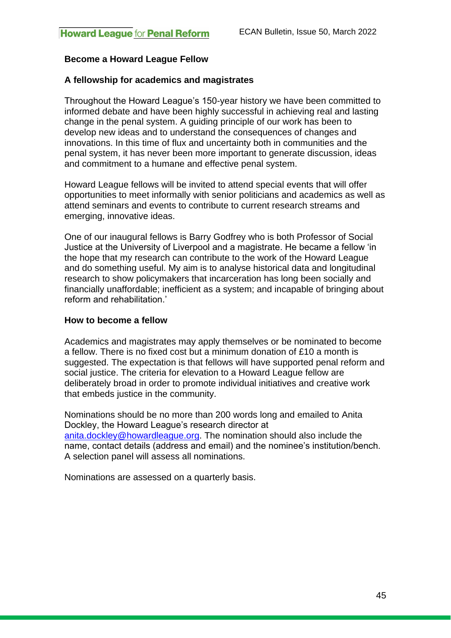### **Become a Howard League Fellow**

#### **A fellowship for academics and magistrates**

Throughout the Howard League's 150-year history we have been committed to informed debate and have been highly successful in achieving real and lasting change in the penal system. A guiding principle of our work has been to develop new ideas and to understand the consequences of changes and innovations. In this time of flux and uncertainty both in communities and the penal system, it has never been more important to generate discussion, ideas and commitment to a humane and effective penal system.

Howard League fellows will be invited to attend special events that will offer opportunities to meet informally with senior politicians and academics as well as attend seminars and events to contribute to current research streams and emerging, innovative ideas.

One of our inaugural fellows is Barry Godfrey who is both Professor of Social Justice at the University of Liverpool and a magistrate. He became a fellow 'in the hope that my research can contribute to the work of the Howard League and do something useful. My aim is to analyse historical data and longitudinal research to show policymakers that incarceration has long been socially and financially unaffordable; inefficient as a system; and incapable of bringing about reform and rehabilitation.'

#### **How to become a fellow**

Academics and magistrates may apply themselves or be nominated to become a fellow. There is no fixed cost but a minimum donation of £10 a month is suggested. The expectation is that fellows will have supported penal reform and social justice. The criteria for elevation to a Howard League fellow are deliberately broad in order to promote individual initiatives and creative work that embeds justice in the community.

Nominations should be no more than 200 words long and emailed to Anita Dockley, the Howard League's research director at [anita.dockley@howardleague.org.](mailto:anita.dockley@howardleague.org) The nomination should also include the name, contact details (address and email) and the nominee's institution/bench. A selection panel will assess all nominations.

Nominations are assessed on a quarterly basis.